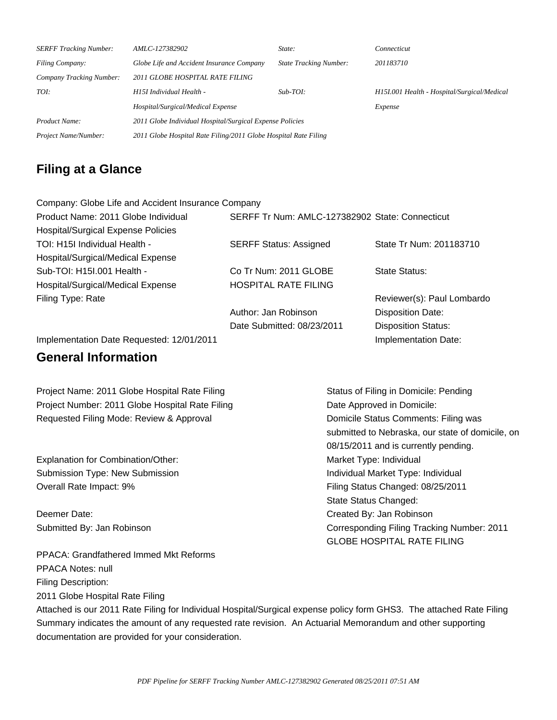| <b>SERFF Tracking Number:</b> | AMLC-127382902                                                  | State:                        | Connecticut                                 |  |  |
|-------------------------------|-----------------------------------------------------------------|-------------------------------|---------------------------------------------|--|--|
| <b>Filing Company:</b>        | Globe Life and Accident Insurance Company                       | <b>State Tracking Number:</b> | 201183710                                   |  |  |
| Company Tracking Number:      | 2011 GLOBE HOSPITAL RATE FILING                                 |                               |                                             |  |  |
| TOI:                          | H15I Individual Health -                                        | $Sub-TOI:$                    | H151.001 Health - Hospital/Surgical/Medical |  |  |
|                               | Hospital/Surgical/Medical Expense                               |                               | Expense                                     |  |  |
| Product Name:                 | 2011 Globe Individual Hospital/Surgical Expense Policies        |                               |                                             |  |  |
| Project Name/Number:          | 2011 Globe Hospital Rate Filing/2011 Globe Hospital Rate Filing |                               |                                             |  |  |

# **Filing at a Glance**

| Company: Globe Life and Accident Insurance Company |                                                 |                            |
|----------------------------------------------------|-------------------------------------------------|----------------------------|
| Product Name: 2011 Globe Individual                | SERFF Tr Num: AMLC-127382902 State: Connecticut |                            |
| <b>Hospital/Surgical Expense Policies</b>          |                                                 |                            |
| TOI: H15I Individual Health -                      | <b>SERFF Status: Assigned</b>                   | State Tr Num: 201183710    |
| Hospital/Surgical/Medical Expense                  |                                                 |                            |
| Sub-TOI: H15I.001 Health -                         | Co Tr Num: 2011 GLOBE                           | State Status:              |
| Hospital/Surgical/Medical Expense                  | <b>HOSPITAL RATE FILING</b>                     |                            |
| Filing Type: Rate                                  |                                                 | Reviewer(s): Paul Lombardo |
|                                                    | Author: Jan Robinson                            | Disposition Date:          |
|                                                    | Date Submitted: 08/23/2011                      | <b>Disposition Status:</b> |
| Implementation Date Requested: 12/01/2011          |                                                 | Implementation Date:       |

# **General Information**

| Project Name: 2011 Globe Hospital Rate Filing   | Status of Filing in Domicile: Pending            |
|-------------------------------------------------|--------------------------------------------------|
| Project Number: 2011 Globe Hospital Rate Filing | Date Approved in Domicile:                       |
| Requested Filing Mode: Review & Approval        | Domicile Status Comments: Filing was             |
|                                                 | submitted to Nebraska, our state of domicile, on |
|                                                 | 08/15/2011 and is currently pending.             |
| Explanation for Combination/Other:              | Market Type: Individual                          |
| Submission Type: New Submission                 | Individual Market Type: Individual               |
| Overall Rate Impact: 9%                         | Filing Status Changed: 08/25/2011                |
|                                                 | State Status Changed:                            |
| Deemer Date:                                    | Created By: Jan Robinson                         |
| Submitted By: Jan Robinson                      | Corresponding Filing Tracking Number: 2011       |
|                                                 | <b>GLOBE HOSPITAL RATE FILING</b>                |
| PPACA: Grandfathered Immed Mkt Reforms          |                                                  |

PPACA: Grandfathered Immed Mkt Reforms PPACA Notes: null Filing Description: 2011 Globe Hospital Rate Filing

Attached is our 2011 Rate Filing for Individual Hospital/Surgical expense policy form GHS3. The attached Rate Filing Summary indicates the amount of any requested rate revision. An Actuarial Memorandum and other supporting documentation are provided for your consideration.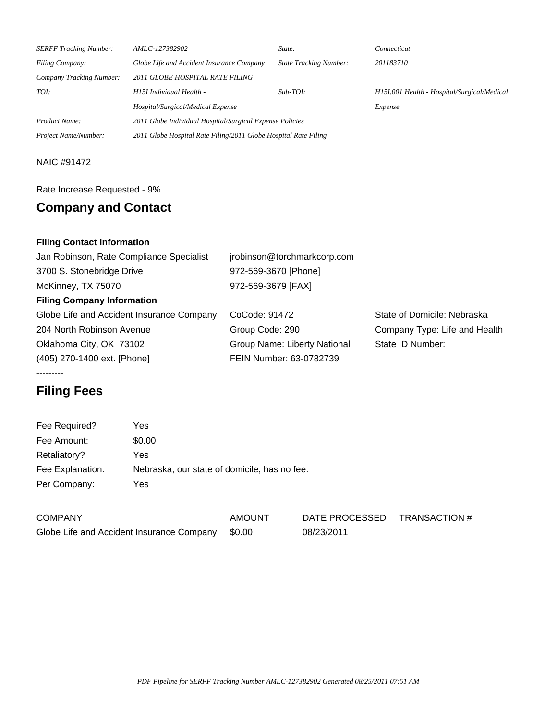| <b>SERFF Tracking Number:</b> | AMLC-127382902                                                  | State:                        | Connecticut                                 |  |  |
|-------------------------------|-----------------------------------------------------------------|-------------------------------|---------------------------------------------|--|--|
| Filing Company:               | Globe Life and Accident Insurance Company                       | <b>State Tracking Number:</b> | 201183710                                   |  |  |
| Company Tracking Number:      | 2011 GLOBE HOSPITAL RATE FILING                                 |                               |                                             |  |  |
| TOI:                          | H15I Individual Health -                                        | $Sub-TOI:$                    | H151.001 Health - Hospital/Surgical/Medical |  |  |
|                               | Hospital/Surgical/Medical Expense                               |                               | Expense                                     |  |  |
| Product Name:                 | 2011 Globe Individual Hospital/Surgical Expense Policies        |                               |                                             |  |  |
| Project Name/Number:          | 2011 Globe Hospital Rate Filing/2011 Globe Hospital Rate Filing |                               |                                             |  |  |

## NAIC #91472

### Rate Increase Requested - 9%

# **Company and Contact**

# **Filing Contact Information**

| Jan Robinson, Rate Compliance Specialist  | jrobinson@torchmarkcorp.com  |                               |
|-------------------------------------------|------------------------------|-------------------------------|
| 3700 S. Stonebridge Drive                 | 972-569-3670 [Phone]         |                               |
| McKinney, TX 75070                        | 972-569-3679 [FAX]           |                               |
| <b>Filing Company Information</b>         |                              |                               |
| Globe Life and Accident Insurance Company | CoCode: 91472                | State of Domicile: Nebraska   |
| 204 North Robinson Avenue                 | Group Code: 290              | Company Type: Life and Health |
| Oklahoma City, OK 73102                   | Group Name: Liberty National | State ID Number:              |
| (405) 270-1400 ext. [Phone]               | FEIN Number: 63-0782739      |                               |
|                                           |                              |                               |

Globe Life and Accident Insurance Company \$0.00 08/23/2011

# **Filing Fees**

| Fee Required?    | Yes    |                                              |                |               |
|------------------|--------|----------------------------------------------|----------------|---------------|
| Fee Amount:      | \$0.00 |                                              |                |               |
| Retaliatory?     | Yes    |                                              |                |               |
| Fee Explanation: |        | Nebraska, our state of domicile, has no fee. |                |               |
| Per Company:     | Yes    |                                              |                |               |
|                  |        |                                              |                |               |
| <b>COMPANY</b>   |        | <b>AMOUNT</b>                                | DATE PROCESSED | TRANSACTION # |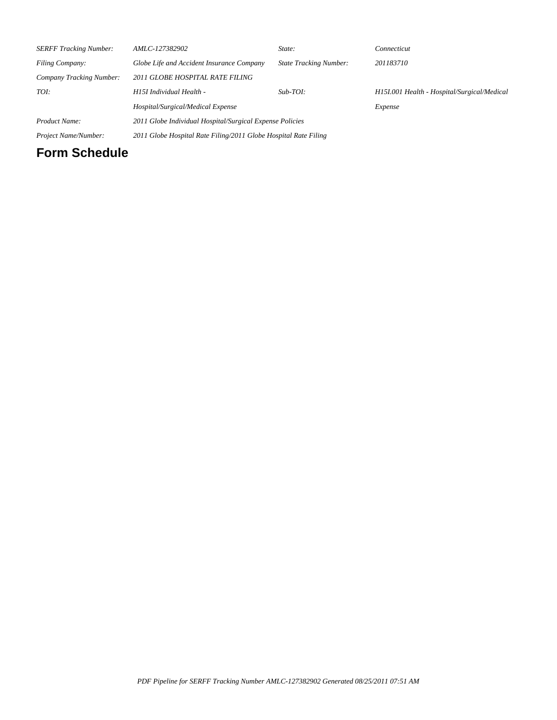| <b>SERFF Tracking Number:</b>   | AMLC-127382902                                                  | State:                        | Connecticut                                 |  |
|---------------------------------|-----------------------------------------------------------------|-------------------------------|---------------------------------------------|--|
| Filing Company:                 | Globe Life and Accident Insurance Company                       | <b>State Tracking Number:</b> | 201183710                                   |  |
| <b>Company Tracking Number:</b> | 2011 GLOBE HOSPITAL RATE FILING                                 |                               |                                             |  |
| TOI:                            | H15I Individual Health -                                        | $Sub-TOI:$                    | H151.001 Health - Hospital/Surgical/Medical |  |
|                                 | Hospital/Surgical/Medical Expense                               |                               | Expense                                     |  |
| Product Name:                   | 2011 Globe Individual Hospital/Surgical Expense Policies        |                               |                                             |  |
| Project Name/Number:            | 2011 Globe Hospital Rate Filing/2011 Globe Hospital Rate Filing |                               |                                             |  |

# **Form Schedule**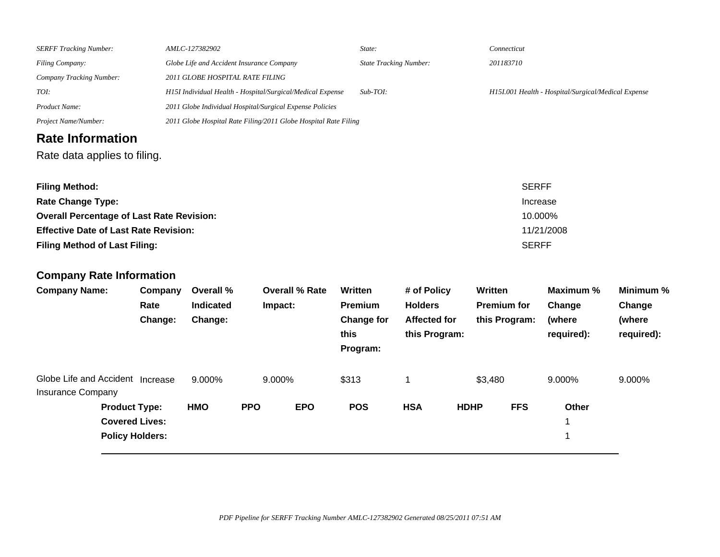| <b>SERFF Tracking Number:</b>                                |                            | AMLC-127382902                                                  |            |                       | State:                                                 |                                                                       |             | Connecticut                                    |                                                     |                                             |
|--------------------------------------------------------------|----------------------------|-----------------------------------------------------------------|------------|-----------------------|--------------------------------------------------------|-----------------------------------------------------------------------|-------------|------------------------------------------------|-----------------------------------------------------|---------------------------------------------|
| Filing Company:                                              |                            | Globe Life and Accident Insurance Company                       |            |                       |                                                        | <b>State Tracking Number:</b><br>201183710                            |             |                                                |                                                     |                                             |
| Company Tracking Number:                                     |                            | 2011 GLOBE HOSPITAL RATE FILING                                 |            |                       |                                                        |                                                                       |             |                                                |                                                     |                                             |
| TOI:                                                         |                            | H15I Individual Health - Hospital/Surgical/Medical Expense      |            |                       | Sub-TOI:                                               |                                                                       |             |                                                | H15I.001 Health - Hospital/Surgical/Medical Expense |                                             |
| Product Name:                                                |                            | 2011 Globe Individual Hospital/Surgical Expense Policies        |            |                       |                                                        |                                                                       |             |                                                |                                                     |                                             |
| Project Name/Number:                                         |                            | 2011 Globe Hospital Rate Filing/2011 Globe Hospital Rate Filing |            |                       |                                                        |                                                                       |             |                                                |                                                     |                                             |
| <b>Rate Information</b>                                      |                            |                                                                 |            |                       |                                                        |                                                                       |             |                                                |                                                     |                                             |
| Rate data applies to filing.                                 |                            |                                                                 |            |                       |                                                        |                                                                       |             |                                                |                                                     |                                             |
| <b>Filing Method:</b><br><b>Rate Change Type:</b>            |                            |                                                                 |            |                       |                                                        |                                                                       |             |                                                | <b>SERFF</b><br>Increase                            |                                             |
| <b>Overall Percentage of Last Rate Revision:</b>             |                            |                                                                 |            |                       |                                                        |                                                                       |             |                                                | 10.000%                                             |                                             |
| <b>Effective Date of Last Rate Revision:</b>                 |                            |                                                                 |            |                       |                                                        |                                                                       |             |                                                | 11/21/2008                                          |                                             |
| <b>Filing Method of Last Filing:</b>                         |                            |                                                                 |            |                       |                                                        |                                                                       |             |                                                | <b>SERFF</b>                                        |                                             |
|                                                              |                            |                                                                 |            |                       |                                                        |                                                                       |             |                                                |                                                     |                                             |
| <b>Company Rate Information</b>                              |                            |                                                                 |            |                       |                                                        |                                                                       |             |                                                |                                                     |                                             |
| <b>Company Name:</b>                                         | Company<br>Rate<br>Change: | Overall %<br>Indicated<br>Change:                               | Impact:    | <b>Overall % Rate</b> | Written<br><b>Premium</b><br><b>Change for</b><br>this | # of Policy<br><b>Holders</b><br><b>Affected for</b><br>this Program: |             | Written<br><b>Premium for</b><br>this Program: | Maximum %<br>Change<br>(where<br>required):         | Minimum %<br>Change<br>(where<br>required): |
|                                                              |                            |                                                                 |            |                       | Program:                                               |                                                                       |             |                                                |                                                     |                                             |
| Globe Life and Accident Increase<br><b>Insurance Company</b> |                            | 9.000%                                                          | 9.000%     |                       | \$313                                                  | 1                                                                     |             | \$3,480                                        | 9.000%                                              | 9.000%                                      |
| <b>Product Type:</b>                                         |                            | <b>HMO</b>                                                      | <b>PPO</b> | <b>EPO</b>            | <b>POS</b>                                             | <b>HSA</b>                                                            | <b>HDHP</b> | <b>FFS</b>                                     | Other                                               |                                             |

 $\mathbf{1}$ 

**Covered Lives:** 1

**Policy Holders:**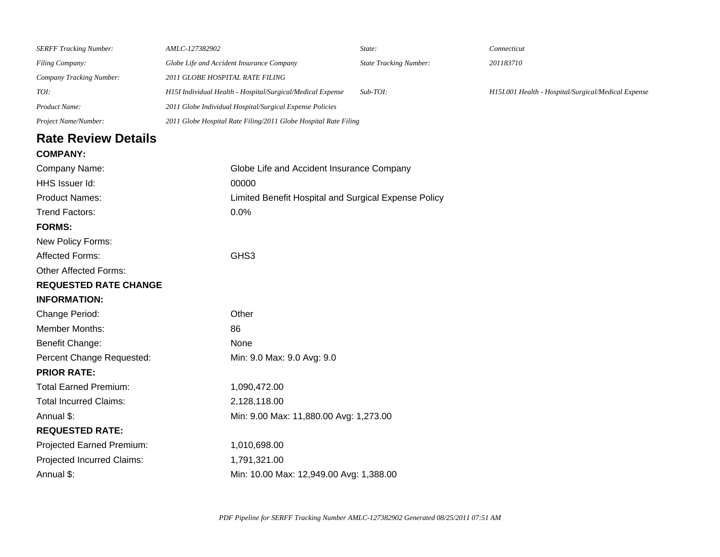| <b>SERFF Tracking Number:</b> | AMLC-127382902                                                  | State:                        | Connecticut                                         |
|-------------------------------|-----------------------------------------------------------------|-------------------------------|-----------------------------------------------------|
| Filing Company:               | Globe Life and Accident Insurance Company                       | <b>State Tracking Number:</b> | 201183710                                           |
| Company Tracking Number:      | 2011 GLOBE HOSPITAL RATE FILING                                 |                               |                                                     |
| TOI:                          | H15I Individual Health - Hospital/Surgical/Medical Expense      | $Sub-TOI:$                    | H15I.001 Health - Hospital/Surgical/Medical Expense |
| Product Name:                 | 2011 Globe Individual Hospital/Surgical Expense Policies        |                               |                                                     |
| Project Name/Number:          | 2011 Globe Hospital Rate Filing/2011 Globe Hospital Rate Filing |                               |                                                     |
| <b>Rate Review Details</b>    |                                                                 |                               |                                                     |
| <b>COMPANY:</b>               |                                                                 |                               |                                                     |
| Company Name:                 | Globe Life and Accident Insurance Company                       |                               |                                                     |
| HHS Issuer Id:                | 00000                                                           |                               |                                                     |
| <b>Product Names:</b>         | Limited Benefit Hospital and Surgical Expense Policy            |                               |                                                     |
| <b>Trend Factors:</b>         | 0.0%                                                            |                               |                                                     |
| <b>FORMS:</b>                 |                                                                 |                               |                                                     |
| New Policy Forms:             |                                                                 |                               |                                                     |
| <b>Affected Forms:</b>        | GHS3                                                            |                               |                                                     |
| <b>Other Affected Forms:</b>  |                                                                 |                               |                                                     |
| <b>REQUESTED RATE CHANGE</b>  |                                                                 |                               |                                                     |
| <b>INFORMATION:</b>           |                                                                 |                               |                                                     |
| Change Period:                | Other                                                           |                               |                                                     |
| Member Months:                | 86                                                              |                               |                                                     |
| <b>Benefit Change:</b>        | None                                                            |                               |                                                     |
| Percent Change Requested:     | Min: 9.0 Max: 9.0 Avg: 9.0                                      |                               |                                                     |
| <b>PRIOR RATE:</b>            |                                                                 |                               |                                                     |
| <b>Total Earned Premium:</b>  | 1,090,472.00                                                    |                               |                                                     |
| <b>Total Incurred Claims:</b> | 2,128,118.00                                                    |                               |                                                     |
| Annual \$:                    | Min: 9.00 Max: 11,880.00 Avg: 1,273.00                          |                               |                                                     |
| <b>REQUESTED RATE:</b>        |                                                                 |                               |                                                     |
| Projected Earned Premium:     | 1,010,698.00                                                    |                               |                                                     |
| Projected Incurred Claims:    | 1,791,321.00                                                    |                               |                                                     |
| Annual \$:                    | Min: 10.00 Max: 12,949.00 Avg: 1,388.00                         |                               |                                                     |
|                               |                                                                 |                               |                                                     |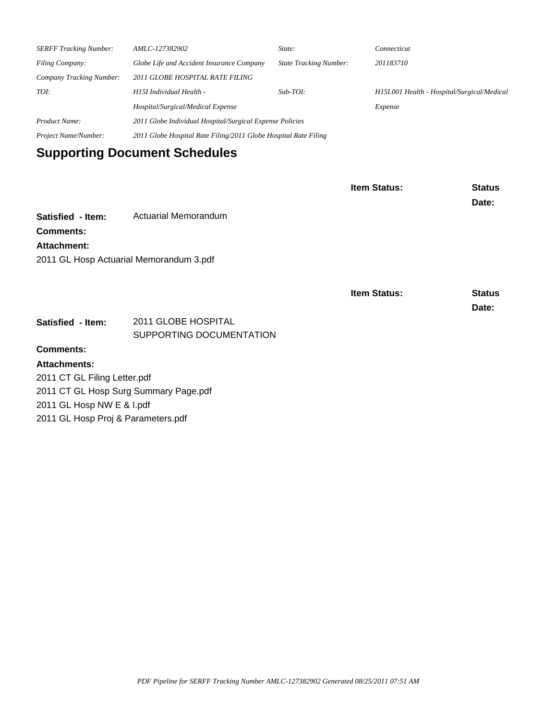| <b>SERFF Tracking Number:</b> | AMLC-127382902                                                  | State:                        | Connecticut                                 |  |
|-------------------------------|-----------------------------------------------------------------|-------------------------------|---------------------------------------------|--|
| <b>Filing Company:</b>        | Globe Life and Accident Insurance Company                       | <b>State Tracking Number:</b> | 201183710                                   |  |
| Company Tracking Number:      | 2011 GLOBE HOSPITAL RATE FILING                                 |                               |                                             |  |
| TOI:                          | H15I Individual Health -                                        | $Sub-TOI:$                    | H151.001 Health - Hospital/Surgical/Medical |  |
|                               | Hospital/Surgical/Medical Expense                               | Expense                       |                                             |  |
| Product Name:                 | 2011 Globe Individual Hospital/Surgical Expense Policies        |                               |                                             |  |
| Project Name/Number:          | 2011 Globe Hospital Rate Filing/2011 Globe Hospital Rate Filing |                               |                                             |  |

# **Supporting Document Schedules**

|                                         |                             | <b>Item Status:</b> | <b>Status</b><br>Date: |
|-----------------------------------------|-----------------------------|---------------------|------------------------|
| Satisfied - Item:                       | <b>Actuarial Memorandum</b> |                     |                        |
| <b>Comments:</b>                        |                             |                     |                        |
| Attachment:                             |                             |                     |                        |
| 2011 GL Hosp Actuarial Memorandum 3.pdf |                             |                     |                        |
|                                         |                             |                     |                        |
|                                         |                             | <b>Item Status:</b> | <b>Status</b>          |
|                                         |                             |                     | Date:                  |
| Satisfied - Item:                       | 2011 GLOBE HOSPITAL         |                     |                        |
|                                         | SUPPORTING DOCUMENTATION    |                     |                        |
| <b>Comments:</b>                        |                             |                     |                        |
| <b>Attachments:</b>                     |                             |                     |                        |
| 2011 CT GL Filing Letter.pdf            |                             |                     |                        |
| 2011 CT GL Hosp Surg Summary Page.pdf   |                             |                     |                        |

2011 GL Hosp NW E & I.pdf

2011 GL Hosp Proj & Parameters.pdf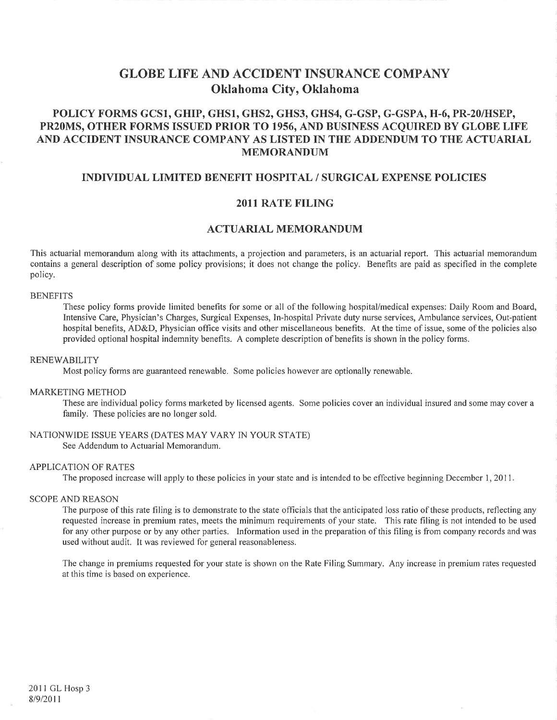# **GLOBE LIFE AND ACCIDENT INSURANCE COMPANY** Oklahoma City, Oklahoma

# POLICY FORMS GCS1, GHIP, GHS1, GHS2, GHS3, GHS4, G-GSP, G-GSPA, H-6, PR-20/HSEP, PR20MS, OTHER FORMS ISSUED PRIOR TO 1956, AND BUSINESS ACOUIRED BY GLOBE LIFE AND ACCIDENT INSURANCE COMPANY AS LISTED IN THE ADDENDUM TO THE ACTUARIAL **MEMORANDUM**

### INDIVIDUAL LIMITED BENEFIT HOSPITAL / SURGICAL EXPENSE POLICIES

#### **2011 RATE FILING**

### **ACTUARIAL MEMORANDUM**

This actuarial memorandum along with its attachments, a projection and parameters, is an actuarial report. This actuarial memorandum contains a general description of some policy provisions; it does not change the policy. Benefits are paid as specified in the complete policy.

#### **BENEFITS**

These policy forms provide limited benefits for some or all of the following hospital/medical expenses: Daily Room and Board, Intensive Care, Physician's Charges, Surgical Expenses, In-hospital Private duty nurse services, Ambulance services, Out-patient hospital benefits, AD&D, Physician office visits and other miscellaneous benefits. At the time of issue, some of the policies also provided optional hospital indemnity benefits. A complete description of benefits is shown in the policy forms.

#### **RENEWABILITY**

Most policy forms are guaranteed renewable. Some policies however are optionally renewable.

#### **MARKETING METHOD**

These are individual policy forms marketed by licensed agents. Some policies cover an individual insured and some may cover a family. These policies are no longer sold.

#### NATIONWIDE ISSUE YEARS (DATES MAY VARY IN YOUR STATE)

See Addendum to Actuarial Memorandum.

#### **APPLICATION OF RATES**

The proposed increase will apply to these policies in your state and is intended to be effective beginning December 1, 2011.

#### **SCOPE AND REASON**

The purpose of this rate filing is to demonstrate to the state officials that the anticipated loss ratio of these products, reflecting any requested increase in premium rates, meets the minimum requirements of your state. This rate filing is not intended to be used for any other purpose or by any other parties. Information used in the preparation of this filing is from company records and was used without audit. It was reviewed for general reasonableness.

The change in premiums requested for your state is shown on the Rate Filing Summary. Any increase in premium rates requested at this time is based on experience.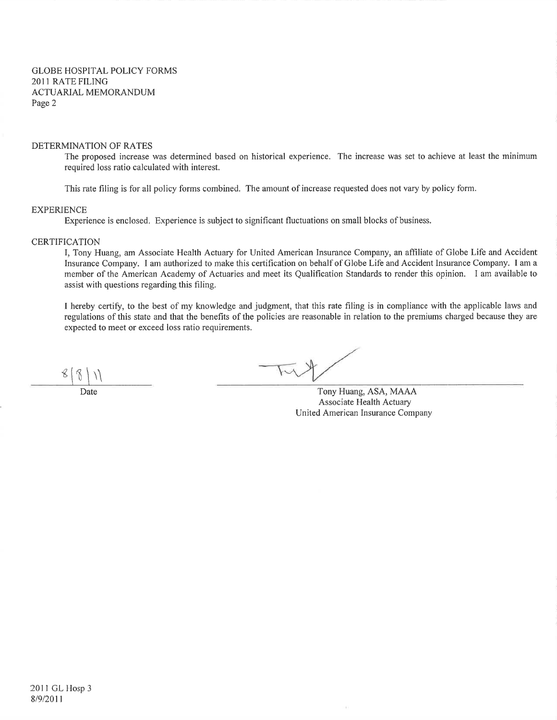#### DETERMINATION OF RATES

The proposed increase was determined based on historical experience. The increase was set to achieve at least the minimum required loss ratio calculated with interest.

This rate filing is for all policy forms combined. The amount of increase requested does not vary by policy form.

#### **EXPERIENCE**

Experience is enclosed. Experience is subject to significant fluctuations on small blocks of business.

#### **CERTIFICATION**

I, Tony Huang, am Associate Health Actuary for United American Insurance Company, an affiliate of Globe Life and Accident Insurance Company. I am authorized to make this certification on behalf of Globe Life and Accident Insurance Company. I am a member of the American Academy of Actuaries and meet its Qualification Standards to render this opinion. I am available to assist with questions regarding this filing.

I hereby certify, to the best of my knowledge and judgment, that this rate filing is in compliance with the applicable laws and regulations of this state and that the benefits of the policies are reasonable in relation to the premiums charged because they are expected to meet or exceed loss ratio requirements.

Date

Tony Huang, ASA, MAAA Associate Health Actuary United American Insurance Company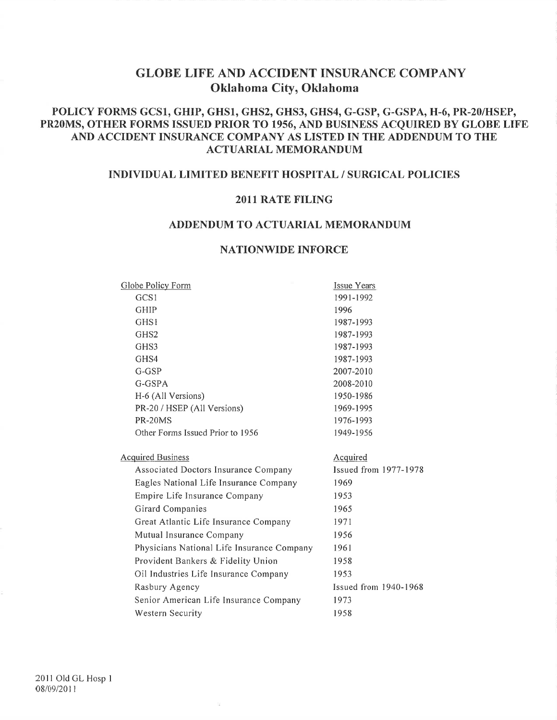# **GLOBE LIFE AND ACCIDENT INSURANCE COMPANY** Oklahoma City, Oklahoma

# POLICY FORMS GCS1, GHIP, GHS1, GHS2, GHS3, GHS4, G-GSP, G-GSPA, H-6, PR-20/HSEP, PR20MS, OTHER FORMS ISSUED PRIOR TO 1956, AND BUSINESS ACQUIRED BY GLOBE LIFE AND ACCIDENT INSURANCE COMPANY AS LISTED IN THE ADDENDUM TO THE **ACTUARIAL MEMORANDUM**

## **INDIVIDUAL LIMITED BENEFIT HOSPITAL / SURGICAL POLICIES**

### 2011 RATE FILING

## ADDENDUM TO ACTUARIAL MEMORANDUM

### **NATIONWIDE INFORCE**

| Globe Policy Form        |                                            | Issue Years           |
|--------------------------|--------------------------------------------|-----------------------|
| GCS1                     |                                            | 1991-1992             |
| <b>GHIP</b>              |                                            | 1996                  |
| GHS1                     |                                            | 1987-1993             |
| GHS <sub>2</sub>         |                                            | 1987-1993             |
| GHS3                     |                                            | 1987-1993             |
| GHS4                     |                                            | 1987-1993             |
| G-GSP                    |                                            | 2007-2010             |
| G-GSPA                   |                                            | 2008-2010             |
|                          | H-6 (All Versions)                         | 1950-1986             |
|                          | PR-20 / HSEP (All Versions)                | 1969-1995             |
| PR-20MS                  |                                            | 1976-1993             |
|                          | Other Forms Issued Prior to 1956           | 1949-1956             |
|                          |                                            |                       |
| <b>Acquired Business</b> |                                            | Acquired              |
|                          | Associated Doctors Insurance Company       | Issued from 1977-1978 |
|                          | Eagles National Life Insurance Company     | 1969                  |
|                          | Empire Life Insurance Company              | 1953                  |
|                          | Girard Companies                           | 1965                  |
|                          | Great Atlantic Life Insurance Company      | 1971                  |
|                          | Mutual Insurance Company                   | 1956                  |
|                          | Physicians National Life Insurance Company | 1961                  |
|                          | Provident Bankers & Fidelity Union         | 1958                  |
|                          | Oil Industries Life Insurance Company      | 1953                  |
|                          | Rasbury Agency                             | Issued from 1940-1968 |
|                          | Senior American Life Insurance Company     | 1973                  |
|                          | Western Security                           | 1958                  |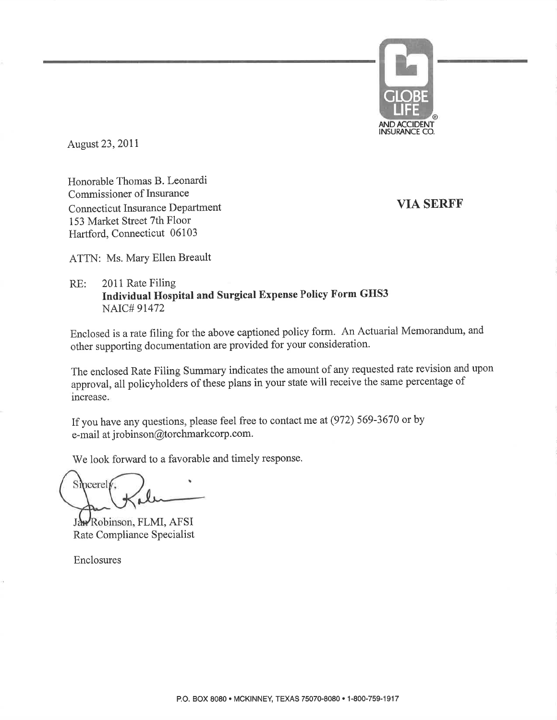

August 23, 2011

Honorable Thomas B. Leonardi Commissioner of Insurance **Connecticut Insurance Department** 153 Market Street 7th Floor Hartford, Connecticut 06103

**VIA SERFF** 

ATTN: Ms. Mary Ellen Breault

#### 2011 Rate Filing  $RE:$ Individual Hospital and Surgical Expense Policy Form GHS3 **NAIC#91472**

Enclosed is a rate filing for the above captioned policy form. An Actuarial Memorandum, and other supporting documentation are provided for your consideration.

The enclosed Rate Filing Summary indicates the amount of any requested rate revision and upon approval, all policyholders of these plans in your state will receive the same percentage of increase.

If you have any questions, please feel free to contact me at (972) 569-3670 or by e-mail at jrobinson@torchmarkcorp.com.

We look forward to a favorable and timely response.

Smcerely,

Jan Robinson, FLMI, AFSI Rate Compliance Specialist

Enclosures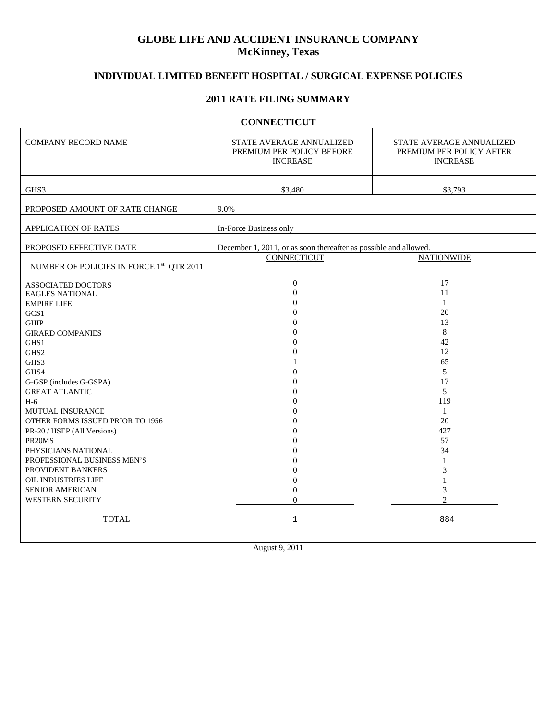# **GLOBE LIFE AND ACCIDENT INSURANCE COMPANY McKinney, Texas**

# **INDIVIDUAL LIMITED BENEFIT HOSPITAL / SURGICAL EXPENSE POLICIES**

### **2011 RATE FILING SUMMARY**

# **CONNECTICUT**

ä,

| <b>COMPANY RECORD NAME</b>                           | STATE AVERAGE ANNUALIZED<br>PREMIUM PER POLICY BEFORE<br><b>INCREASE</b> | STATE AVERAGE ANNUALIZED<br>PREMIUM PER POLICY AFTER<br><b>INCREASE</b> |
|------------------------------------------------------|--------------------------------------------------------------------------|-------------------------------------------------------------------------|
| GHS3                                                 | \$3,480                                                                  | \$3,793                                                                 |
| PROPOSED AMOUNT OF RATE CHANGE                       | 9.0%                                                                     |                                                                         |
| APPLICATION OF RATES                                 | In-Force Business only                                                   |                                                                         |
| PROPOSED EFFECTIVE DATE                              | December 1, 2011, or as soon thereafter as possible and allowed.         |                                                                         |
| NUMBER OF POLICIES IN FORCE 1 <sup>st</sup> QTR 2011 | <b>CONNECTICUT</b>                                                       | <b>NATIONWIDE</b>                                                       |
| <b>ASSOCIATED DOCTORS</b>                            | $\mathbf{0}$                                                             | 17                                                                      |
| <b>EAGLES NATIONAL</b>                               | $\Omega$                                                                 | 11                                                                      |
| <b>EMPIRE LIFE</b>                                   | $\Omega$                                                                 | $\mathbf{1}$                                                            |
| GCS1                                                 | $\Omega$                                                                 | 20                                                                      |
| GHIP                                                 | $\Omega$                                                                 | 13                                                                      |
| <b>GIRARD COMPANIES</b>                              | $\Omega$                                                                 | 8                                                                       |
| GHS1                                                 | $\Omega$                                                                 | 42                                                                      |
| GHS2                                                 | $\Omega$                                                                 | 12                                                                      |
| GHS3                                                 |                                                                          | 65                                                                      |
| GHS4                                                 | $\Omega$                                                                 | 5                                                                       |
| G-GSP (includes G-GSPA)                              | $\Omega$                                                                 | 17                                                                      |
| <b>GREAT ATLANTIC</b>                                | $\Omega$                                                                 | 5                                                                       |
| $H-6$                                                | $\Omega$                                                                 | 119                                                                     |
| <b>MUTUAL INSURANCE</b>                              | $\Omega$                                                                 | $\mathbf{1}$                                                            |
| OTHER FORMS ISSUED PRIOR TO 1956                     | $\Omega$                                                                 | 20                                                                      |
| PR-20 / HSEP (All Versions)                          | $\Omega$                                                                 | 427                                                                     |
| PR <sub>20MS</sub>                                   | $\Omega$                                                                 | 57                                                                      |
| PHYSICIANS NATIONAL                                  | $\Omega$                                                                 | 34                                                                      |
| PROFESSIONAL BUSINESS MEN'S                          | $\Omega$                                                                 | 1                                                                       |
| PROVIDENT BANKERS                                    | $\Omega$                                                                 | 3                                                                       |
| OIL INDUSTRIES LIFE                                  | $\Omega$                                                                 |                                                                         |
| <b>SENIOR AMERICAN</b>                               | $\Omega$                                                                 | 3                                                                       |
| WESTERN SECURITY                                     | $\theta$                                                                 | $\overline{c}$                                                          |
| <b>TOTAL</b>                                         | $\mathbf 1$                                                              | 884                                                                     |
|                                                      |                                                                          |                                                                         |

August 9, 2011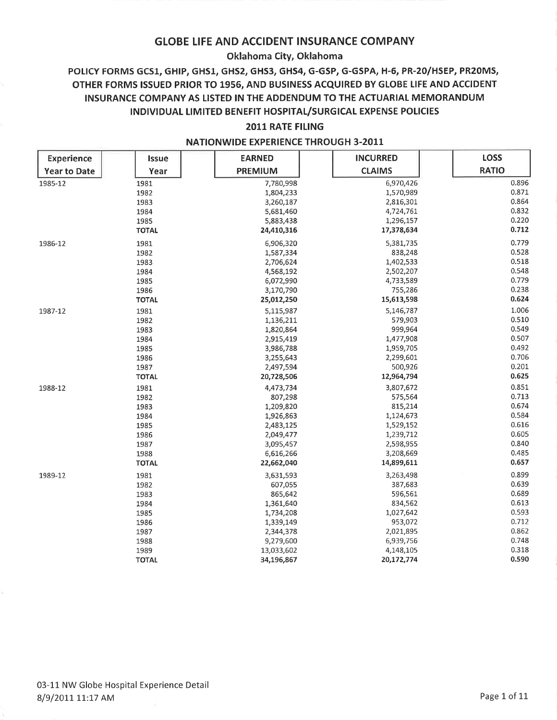### Oklahoma City, Oklahoma

# POLICY FORMS GCS1, GHIP, GHS1, GHS2, GHS3, GHS4, G-GSP, G-GSPA, H-6, PR-20/HSEP, PR20MS, OTHER FORMS ISSUED PRIOR TO 1956, AND BUSINESS ACQUIRED BY GLOBE LIFE AND ACCIDENT INSURANCE COMPANY AS LISTED IN THE ADDENDUM TO THE ACTUARIAL MEMORANDUM INDIVIDUAL LIMITED BENEFIT HOSPITAL/SURGICAL EXPENSE POLICIES

### **2011 RATE FILING**

| <b>Experience</b>   | <b>Issue</b> | <b>EARNED</b>  | <b>INCURRED</b> | <b>LOSS</b>  |
|---------------------|--------------|----------------|-----------------|--------------|
| <b>Year to Date</b> | Year         | <b>PREMIUM</b> | <b>CLAIMS</b>   | <b>RATIO</b> |
| 1985-12             | 1981         | 7,780,998      | 6,970,426       | 0.896        |
|                     | 1982         | 1,804,233      | 1,570,989       | 0.871        |
|                     | 1983         | 3,260,187      | 2,816,301       | 0.864        |
|                     | 1984         | 5,681,460      | 4,724,761       | 0.832        |
|                     | 1985         | 5,883,438      | 1,296,157       | 0.220        |
|                     | <b>TOTAL</b> | 24,410,316     | 17,378,634      | 0.712        |
| 1986-12             | 1981         | 6,906,320      | 5,381,735       | 0.779        |
|                     | 1982         | 1,587,334      | 838,248         | 0.528        |
|                     | 1983         | 2,706,624      | 1,402,533       | 0.518        |
|                     | 1984         | 4,568,192      | 2,502,207       | 0.548        |
|                     | 1985         | 6,072,990      | 4,733,589       | 0.779        |
|                     | 1986         | 3,170,790      | 755,286         | 0.238        |
|                     | <b>TOTAL</b> | 25,012,250     | 15,613,598      | 0.624        |
| 1987-12             | 1981         | 5,115,987      | 5,146,787       | 1.006        |
|                     | 1982         | 1,136,211      | 579,903         | 0.510        |
|                     | 1983         | 1,820,864      | 999,964         | 0.549        |
|                     | 1984         | 2,915,419      | 1,477,908       | 0.507        |
|                     | 1985         | 3,986,788      | 1,959,705       | 0.492        |
|                     | 1986         | 3,255,643      | 2,299,601       | 0.706        |
|                     | 1987         | 2,497,594      | 500,926         | 0.201        |
|                     | <b>TOTAL</b> | 20,728,506     | 12,964,794      | 0.625        |
| 1988-12             | 1981         | 4,473,734      | 3,807,672       | 0.851        |
|                     | 1982         | 807,298        | 575,564         | 0.713        |
|                     | 1983         | 1,209,820      | 815,214         | 0.674        |
|                     | 1984         | 1,926,863      | 1,124,673       | 0.584        |
|                     | 1985         | 2,483,125      | 1,529,152       | 0.616        |
|                     | 1986         | 2,049,477      | 1,239,712       | 0.605        |
|                     | 1987         | 3,095,457      | 2,598,955       | 0.840        |
|                     | 1988         | 6,616,266      | 3,208,669       | 0.485        |
|                     | <b>TOTAL</b> | 22,662,040     | 14,899,611      | 0.657        |
| 1989-12             | 1981         | 3,631,593      | 3,263,498       | 0.899        |
|                     | 1982         | 607,055        | 387,683         | 0.639        |
|                     | 1983         | 865,642        | 596,561         | 0.689        |
|                     | 1984         | 1,361,640      | 834,562         | 0.613        |
|                     | 1985         | 1,734,208      | 1,027,642       | 0.593        |
|                     | 1986         | 1,339,149      | 953,072         | 0.712        |
|                     | 1987         | 2,344,378      | 2,021,895       | 0.862        |
|                     | 1988         | 9,279,600      | 6,939,756       | 0.748        |
|                     | 1989         | 13,033,602     | 4,148,105       | 0.318        |
|                     | <b>TOTAL</b> | 34,196,867     | 20,172,774      | 0.590        |

#### **NATIONWIDE EXPERIENCE THROUGH 3-2011**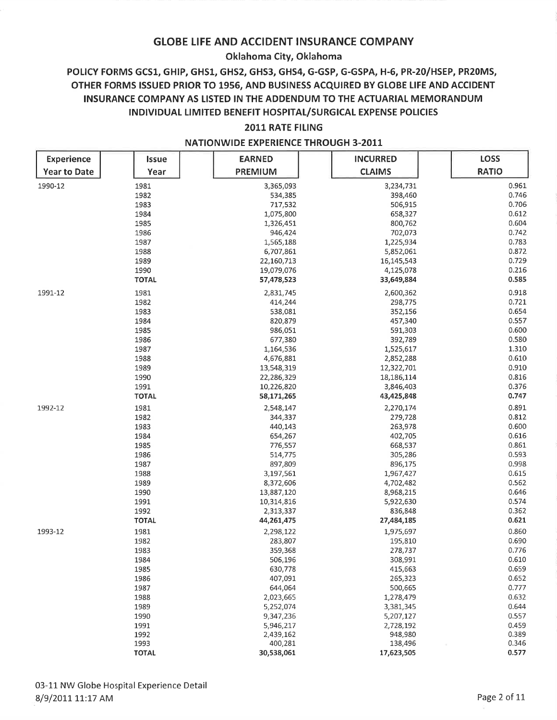## Oklahoma City, Oklahoma

# POLICY FORMS GCS1, GHIP, GHS1, GHS2, GHS3, GHS4, G-GSP, G-GSPA, H-6, PR-20/HSEP, PR20MS, OTHER FORMS ISSUED PRIOR TO 1956, AND BUSINESS ACQUIRED BY GLOBE LIFE AND ACCIDENT INSURANCE COMPANY AS LISTED IN THE ADDENDUM TO THE ACTUARIAL MEMORANDUM INDIVIDUAL LIMITED BENEFIT HOSPITAL/SURGICAL EXPENSE POLICIES

## 2011 RATE FILING

| <b>Experience</b>   | <b>Issue</b> | <b>EARNED</b>  | <b>INCURRED</b> | LOSS         |
|---------------------|--------------|----------------|-----------------|--------------|
| <b>Year to Date</b> | Year         | <b>PREMIUM</b> | <b>CLAIMS</b>   | <b>RATIO</b> |
|                     |              |                |                 |              |
| 1990-12             | 1981         | 3,365,093      | 3,234,731       | 0.961        |
|                     | 1982         | 534,385        | 398,460         | 0.746        |
|                     | 1983         | 717,532        | 506,915         | 0.706        |
|                     | 1984         | 1,075,800      | 658,327         | 0.612        |
|                     | 1985         | 1,326,451      | 800,762         | 0.604        |
|                     | 1986         | 946,424        | 702,073         | 0.742        |
|                     | 1987         | 1,565,188      | 1,225,934       | 0.783        |
|                     | 1988         | 6,707,861      | 5,852,061       | 0.872        |
|                     | 1989         | 22,160,713     | 16,145,543      | 0.729        |
|                     | 1990         | 19,079,076     | 4,125,078       | 0.216        |
|                     | <b>TOTAL</b> | 57,478,523     | 33,649,884      | 0.585        |
| 1991-12             | 1981         | 2,831,745      | 2,600,362       | 0.918        |
|                     | 1982         | 414,244        | 298,775         | 0.721        |
|                     | 1983         | 538,081        | 352,156         | 0.654        |
|                     | 1984         | 820,879        | 457,340         | 0.557        |
|                     | 1985         | 986,051        | 591,303         | 0.600        |
|                     | 1986         | 677,380        | 392,789         | 0.580        |
|                     | 1987         | 1,164,536      | 1,525,617       | 1.310        |
|                     | 1988         | 4,676,881      | 2,852,288       | 0.610        |
|                     | 1989         | 13,548,319     | 12,322,701      | 0.910        |
|                     | 1990         | 22,286,329     | 18,186,114      | 0.816        |
|                     | 1991         | 10,226,820     | 3,846,403       | 0.376        |
|                     | <b>TOTAL</b> | 58,171,265     | 43,425,848      | 0.747        |
| 1992-12             | 1981         | 2,548,147      | 2,270,174       | 0.891        |
|                     | 1982         | 344,337        | 279,728         | 0.812        |
|                     | 1983         | 440,143        | 263,978         | 0.600        |
|                     | 1984         | 654,267        | 402,705         | 0.616        |
|                     | 1985         | 776,557        | 668,537         | 0.861        |
|                     | 1986         | 514,775        | 305,286         | 0.593        |
|                     | 1987         | 897,809        | 896,175         | 0.998        |
|                     | 1988         | 3,197,561      | 1,967,427       | 0.615        |
|                     | 1989         | 8,372,606      | 4,702,482       | 0.562        |
|                     | 1990         | 13,887,120     | 8,968,215       | 0.646        |
|                     | 1991         | 10,314,816     | 5,922,630       | 0.574        |
|                     | 1992         | 2,313,337      | 836,848         | 0.362        |
|                     | <b>TOTAL</b> | 44,261,475     | 27,484,185      | 0.621        |
| 1993-12             | 1981         | 2,298,122      | 1,975,697       | 0.860        |
|                     | 1982         | 283,807        | 195,810         | 0.690        |
|                     | 1983         | 359,368        | 278,737         | 0.776        |
|                     | 1984         | 506,196        | 308,991         | 0.610        |
|                     | 1985         | 630,778        | 415,663         | 0.659        |
|                     | 1986         | 407,091        | 265,323         | 0.652        |
|                     | 1987         | 644,064        | 500,665         | 0.777        |
|                     | 1988         | 2,023,665      | 1,278,479       | 0.632        |
|                     | 1989         | 5,252,074      | 3,381,345       | 0.644        |
|                     | 1990         | 9,347,236      | 5,207,127       | 0.557        |
|                     | 1991         | 5,946,217      | 2,728,192       | 0.459        |
|                     | 1992         | 2,439,162      | 948,980         | 0.389        |
|                     | 1993         | 400,281        | 138,496         | 0.346        |
|                     | <b>TOTAL</b> | 30,538,061     | 17,623,505      | 0.577        |

#### **NATIONWIDE EXPERIENCE THROUGH 3-2011**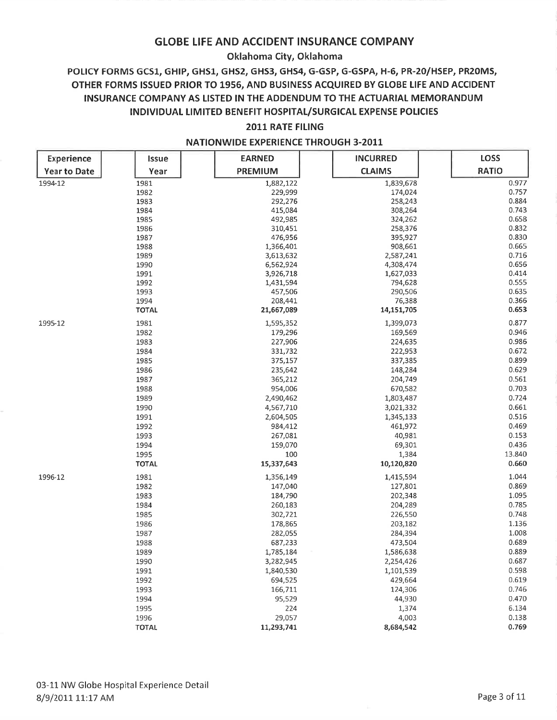## Oklahoma City, Oklahoma

# POLICY FORMS GCS1, GHIP, GHS1, GHS2, GHS3, GHS4, G-GSP, G-GSPA, H-6, PR-20/HSEP, PR20MS, OTHER FORMS ISSUED PRIOR TO 1956, AND BUSINESS ACQUIRED BY GLOBE LIFE AND ACCIDENT INSURANCE COMPANY AS LISTED IN THE ADDENDUM TO THE ACTUARIAL MEMORANDUM INDIVIDUAL LIMITED BENEFIT HOSPITAL/SURGICAL EXPENSE POLICIES

## 2011 RATE FILING

| Experience          | <b>Issue</b> | <b>EARNED</b>  | <b>INCURRED</b> | <b>LOSS</b>  |
|---------------------|--------------|----------------|-----------------|--------------|
| <b>Year to Date</b> | Year         | <b>PREMIUM</b> | <b>CLAIMS</b>   | <b>RATIO</b> |
| 1994-12             | 1981         | 1,882,122      | 1,839,678       | 0.977        |
|                     | 1982         | 229,999        | 174,024         | 0.757        |
|                     | 1983         | 292,276        | 258,243         | 0.884        |
|                     | 1984         | 415,084        | 308,264         | 0.743        |
|                     | 1985         | 492,985        | 324,262         | 0.658        |
|                     | 1986         | 310,451        | 258,376         | 0.832        |
|                     | 1987         | 476,956        | 395,927         | 0.830        |
|                     | 1988         | 1,366,401      | 908,661         | 0.665        |
|                     | 1989         | 3,613,632      | 2,587,241       | 0.716        |
|                     | 1990         | 6,562,924      | 4,308,474       | 0.656        |
|                     | 1991         | 3,926,718      | 1,627,033       | 0.414        |
|                     | 1992         | 1,431,594      | 794,628         | 0.555        |
|                     | 1993         | 457,506        | 290,506         | 0.635        |
|                     | 1994         | 208,441        | 76,388          | 0.366        |
|                     | <b>TOTAL</b> | 21,667,089     | 14,151,705      | 0.653        |
| 1995-12             | 1981         | 1,595,352      | 1,399,073       | 0.877        |
|                     | 1982         | 179,296        | 169,569         | 0.946        |
|                     | 1983         | 227,906        | 224,635         | 0.986        |
|                     | 1984         | 331,732        | 222,953         | 0.672        |
|                     | 1985         | 375,157        | 337,385         | 0.899        |
|                     | 1986         | 235,642        | 148,284         | 0.629        |
|                     | 1987         | 365,212        | 204,749         | 0.561        |
|                     | 1988         | 954,006        | 670,582         | 0.703        |
|                     | 1989         | 2,490,462      | 1,803,487       | 0.724        |
|                     | 1990         | 4,567,710      | 3,021,332       | 0.661        |
|                     | 1991         | 2,604,505      | 1,345,133       | 0.516        |
|                     | 1992         | 984,412        | 461,972         | 0.469        |
|                     | 1993         | 267,081        | 40,981          | 0.153        |
|                     | 1994         | 159,070        | 69,301          | 0.436        |
|                     | 1995         | 100            | 1,384           | 13.840       |
|                     | <b>TOTAL</b> | 15,337,643     | 10,120,820      | 0.660        |
| 1996-12             | 1981         | 1,356,149      | 1,415,594       | 1.044        |
|                     | 1982         | 147,040        | 127,801         | 0.869        |
|                     | 1983         | 184,790        | 202,348         | 1.095        |
|                     | 1984         | 260,183        | 204,289         | 0.785        |
|                     | 1985         | 302,721        | 226,550         | 0.748        |
|                     | 1986         | 178,865        | 203,182         | 1.136        |
|                     | 1987         | 282,055        | 284,394         | 1.008        |
|                     | 1988         | 687,233        | 473,504         | 0.689        |
|                     | 1989         | 1,785,184      | 1,586,638       | 0.889        |
|                     | 1990         | 3,282,945      | 2,254,426       | 0.687        |
|                     | 1991         | 1,840,530      | 1,101,539       | 0.598        |
|                     | 1992         | 694,525        | 429,664         | 0.619        |
|                     | 1993         | 166,711        | 124,306         | 0.746        |
|                     | 1994         | 95,529         | 44,930          | 0.470        |
|                     | 1995         | 224            | 1,374           | 6.134        |
|                     | 1996         | 29,057         | 4,003           | 0.138        |
|                     | <b>TOTAL</b> | 11,293,741     | 8,684,542       | 0.769        |

#### **NATIONWIDE EXPERIENCE THROUGH 3-2011**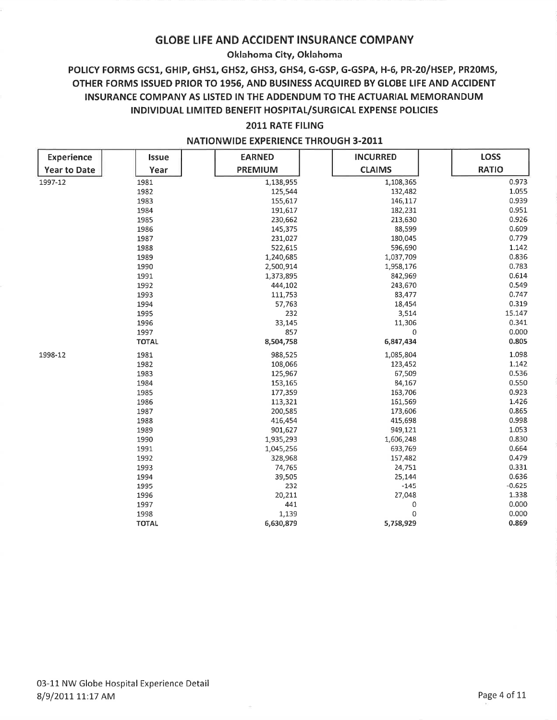### Oklahoma City, Oklahoma

# POLICY FORMS GCS1, GHIP, GHS1, GHS2, GHS3, GHS4, G-GSP, G-GSPA, H-6, PR-20/HSEP, PR20MS, OTHER FORMS ISSUED PRIOR TO 1956, AND BUSINESS ACQUIRED BY GLOBE LIFE AND ACCIDENT INSURANCE COMPANY AS LISTED IN THE ADDENDUM TO THE ACTUARIAL MEMORANDUM INDIVIDUAL LIMITED BENEFIT HOSPITAL/SURGICAL EXPENSE POLICIES

### 2011 RATE FILING

| <b>Experience</b>   | <b>Issue</b> | <b>EARNED</b>  | <b>INCURRED</b> | <b>LOSS</b>  |
|---------------------|--------------|----------------|-----------------|--------------|
| <b>Year to Date</b> | Year         | <b>PREMIUM</b> | <b>CLAIMS</b>   | <b>RATIO</b> |
| 1997-12             | 1981         | 1,138,955      | 1,108,365       | 0.973        |
|                     | 1982         | 125,544        | 132,482         | 1.055        |
|                     | 1983         | 155,617        | 146,117         | 0.939        |
|                     | 1984         | 191,617        | 182,231         | 0.951        |
|                     | 1985         | 230,662        | 213,630         | 0.926        |
|                     | 1986         | 145,375        | 88,599          | 0.609        |
|                     | 1987         | 231,027        | 180,045         | 0.779        |
|                     | 1988         | 522,615        | 596,690         | 1.142        |
|                     | 1989         | 1,240,685      | 1,037,709       | 0.836        |
|                     | 1990         | 2,500,914      | 1,958,176       | 0.783        |
|                     | 1991         | 1,373,895      | 842,969         | 0.614        |
|                     | 1992         | 444,102        | 243,670         | 0.549        |
|                     | 1993         | 111,753        | 83,477          | 0.747        |
|                     | 1994         | 57,763         | 18,454          | 0.319        |
|                     | 1995         | 232            | 3,514           | 15.147       |
|                     | 1996         | 33,145         | 11,306          | 0.341        |
|                     | 1997         | 857            | 0               | 0.000        |
|                     | <b>TOTAL</b> | 8,504,758      | 6,847,434       | 0.805        |
| 1998-12             | 1981         | 988,525        | 1,085,804       | 1.098        |
|                     | 1982         | 108,066        | 123,452         | 1.142        |
|                     | 1983         | 125,967        | 67,509          | 0.536        |
|                     | 1984         | 153,165        | 84,167          | 0.550        |
|                     | 1985         | 177,359        | 163,706         | 0.923        |
|                     | 1986         | 113,321        | 161,569         | 1.426        |
|                     | 1987         | 200,585        | 173,606         | 0.865        |
|                     | 1988         | 416,454        | 415,698         | 0.998        |
|                     | 1989         | 901,627        | 949,121         | 1.053        |
|                     | 1990         | 1,935,293      | 1,606,248       | 0.830        |
|                     | 1991         | 1,045,256      | 693,769         | 0.664        |
|                     | 1992         | 328,968        | 157,482         | 0.479        |
|                     | 1993         | 74,765         | 24,751          | 0.331        |
|                     | 1994         | 39,505         | 25,144          | 0.636        |
|                     | 1995         | 232            | $-145$          | $-0.625$     |
|                     | 1996         | 20,211         | 27,048          | 1.338        |
|                     | 1997         | 441            | 0               | 0.000        |
|                     | 1998         | 1,139          | 0               | 0.000        |
|                     | <b>TOTAL</b> | 6,630,879      | 5,758,929       | 0.869        |

#### **NATIONWIDE EXPERIENCE THROUGH 3-2011**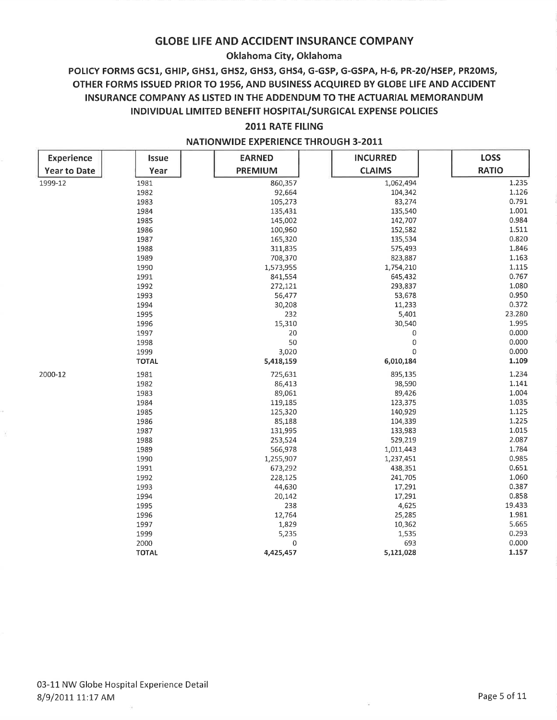### Oklahoma City, Oklahoma

# POLICY FORMS GCS1, GHIP, GHS1, GHS2, GHS3, GHS4, G-GSP, G-GSPA, H-6, PR-20/HSEP, PR20MS, OTHER FORMS ISSUED PRIOR TO 1956, AND BUSINESS ACQUIRED BY GLOBE LIFE AND ACCIDENT INSURANCE COMPANY AS LISTED IN THE ADDENDUM TO THE ACTUARIAL MEMORANDUM INDIVIDUAL LIMITED BENEFIT HOSPITAL/SURGICAL EXPENSE POLICIES

### 2011 RATE FILING

| <b>Experience</b>   | <b>Issue</b> | <b>EARNED</b>  | <b>INCURRED</b> | <b>LOSS</b>  |
|---------------------|--------------|----------------|-----------------|--------------|
| <b>Year to Date</b> | Year         | <b>PREMIUM</b> | <b>CLAIMS</b>   | <b>RATIO</b> |
| 1999-12             | 1981         | 860,357        | 1,062,494       | 1.235        |
|                     | 1982         | 92,664         | 104,342         | 1.126        |
|                     | 1983         | 105,273        | 83,274          | 0.791        |
|                     | 1984         | 135,431        | 135,540         | 1.001        |
|                     | 1985         | 145,002        | 142,707         | 0.984        |
|                     | 1986         | 100,960        | 152,582         | 1.511        |
|                     | 1987         | 165,320        | 135,534         | 0.820        |
|                     | 1988         | 311,835        | 575,493         | 1.846        |
|                     | 1989         | 708,370        | 823,887         | 1.163        |
|                     | 1990         | 1,573,955      | 1,754,210       | 1.115        |
|                     | 1991         | 841,554        | 645,432         | 0.767        |
|                     | 1992         | 272,121        | 293,837         | 1.080        |
|                     | 1993         | 56,477         | 53,678          | 0.950        |
|                     | 1994         | 30,208         | 11,233          | 0.372        |
|                     | 1995         | 232            | 5,401           | 23.280       |
|                     | 1996         | 15,310         | 30,540          | 1.995        |
|                     | 1997         | 20             | 0               | 0.000        |
|                     | 1998         | 50             | 0               | 0.000        |
|                     | 1999         | 3,020          | $\mathbf 0$     | 0.000        |
|                     | <b>TOTAL</b> | 5,418,159      | 6,010,184       | 1.109        |
| 2000-12             | 1981         | 725,631        | 895,135         | 1.234        |
|                     | 1982         | 86,413         | 98,590          | 1.141        |
|                     | 1983         | 89,061         | 89,426          | 1.004        |
|                     | 1984         | 119,185        | 123,375         | 1.035        |
|                     | 1985         | 125,320        | 140,929         | 1.125        |
|                     | 1986         | 85,188         | 104,339         | 1.225        |
|                     | 1987         | 131,995        | 133,983         | 1.015        |
|                     | 1988         | 253,524        | 529,219         | 2.087        |
|                     | 1989         | 566,978        | 1,011,443       | 1.784        |
|                     | 1990         | 1,255,907      | 1,237,451       | 0.985        |
|                     | 1991         | 673,292        | 438,351         | 0.651        |
|                     | 1992         | 228,125        | 241,705         | 1.060        |
|                     | 1993         | 44,630         | 17,291          | 0.387        |
|                     | 1994         | 20,142         | 17,291          | 0.858        |
|                     | 1995         | 238            | 4,625           | 19.433       |
|                     | 1996         | 12,764         | 25,285          | 1.981        |
|                     | 1997         | 1,829          | 10,362          | 5.665        |
|                     | 1999         | 5,235          | 1,535           | 0.293        |
|                     | 2000         | $\mathbf 0$    | 693             | 0.000        |
|                     | <b>TOTAL</b> | 4,425,457      | 5,121,028       | 1.157        |

#### **NATIONWIDE EXPERIENCE THROUGH 3-2011**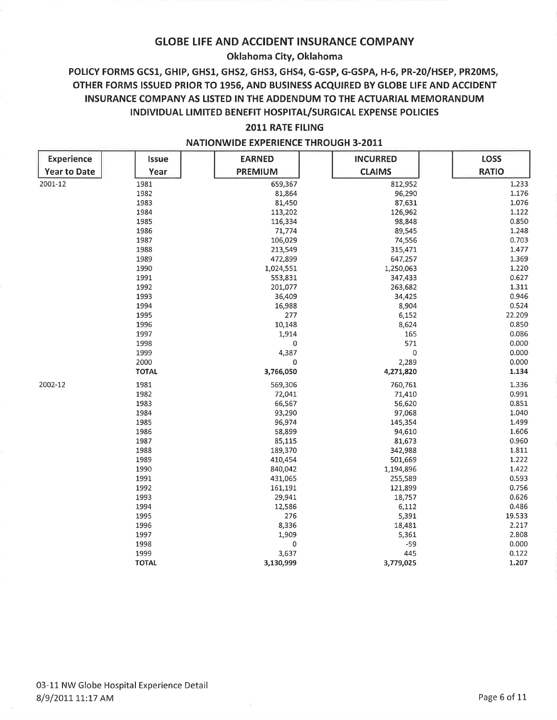### Oklahoma City, Oklahoma

# POLICY FORMS GCS1, GHIP, GHS1, GHS2, GHS3, GHS4, G-GSP, G-GSPA, H-6, PR-20/HSEP, PR20MS, OTHER FORMS ISSUED PRIOR TO 1956, AND BUSINESS ACQUIRED BY GLOBE LIFE AND ACCIDENT INSURANCE COMPANY AS LISTED IN THE ADDENDUM TO THE ACTUARIAL MEMORANDUM INDIVIDUAL LIMITED BENEFIT HOSPITAL/SURGICAL EXPENSE POLICIES

### 2011 RATE FILING

| <b>Experience</b>   | Issue        | <b>EARNED</b>  | <b>INCURRED</b> | <b>LOSS</b>  |
|---------------------|--------------|----------------|-----------------|--------------|
| <b>Year to Date</b> | Year         | <b>PREMIUM</b> | <b>CLAIMS</b>   | <b>RATIO</b> |
| 2001-12             | 1981         | 659,367        | 812,952         | 1.233        |
|                     | 1982         | 81,864         | 96,290          | 1.176        |
|                     | 1983         | 81,450         | 87,631          | 1.076        |
|                     | 1984         | 113,202        | 126,962         | 1.122        |
|                     | 1985         | 116,334        | 98,848          | 0.850        |
|                     | 1986         | 71,774         | 89,545          | 1.248        |
|                     | 1987         | 106,029        | 74,556          | 0.703        |
|                     | 1988         | 213,549        | 315,471         | 1.477        |
|                     | 1989         | 472,899        | 647,257         | 1.369        |
|                     | 1990         | 1,024,551      | 1,250,063       | 1.220        |
|                     | 1991         | 553,831        | 347,433         | 0.627        |
|                     | 1992         | 201,077        | 263,682         | 1.311        |
|                     | 1993         | 36,409         | 34,425          | 0.946        |
|                     | 1994         | 16,988         | 8,904           | 0.524        |
|                     | 1995         | 277            | 6,152           | 22.209       |
|                     | 1996         | 10,148         | 8,624           | 0.850        |
|                     | 1997         | 1,914          | 165             | 0.086        |
|                     | 1998         | $\bf{0}$       | 571             | 0.000        |
|                     | 1999         | 4,387          | $\pmb{0}$       | 0.000        |
|                     | 2000         | 0              | 2,289           | 0.000        |
|                     | <b>TOTAL</b> | 3,766,050      | 4,271,820       | 1.134        |
| 2002-12             | 1981         | 569,306        | 760,761         | 1.336        |
|                     | 1982         | 72,041         | 71,410          | 0.991        |
|                     | 1983         | 66,567         | 56,620          | 0.851        |
|                     | 1984         | 93,290         | 97,068          | 1.040        |
|                     | 1985         | 96,974         | 145,354         | 1.499        |
|                     | 1986         | 58,899         | 94,610          | 1.606        |
|                     | 1987         | 85,115         | 81,673          | 0.960        |
|                     | 1988         | 189,370        | 342,988         | 1.811        |
|                     | 1989         | 410,454        | 501,669         | 1.222        |
|                     | 1990         | 840,042        | 1,194,896       | 1.422        |
|                     | 1991         | 431,065        | 255,589         | 0.593        |
|                     | 1992         | 161,191        | 121,899         | 0.756        |
|                     | 1993         | 29,941         | 18,757          | 0.626        |
|                     | 1994         | 12,586         | 6,112           | 0.486        |
|                     | 1995         | 276            | 5,391           | 19.533       |
|                     | 1996         | 8,336          | 18,481          | 2.217        |
|                     | 1997         | 1,909          | 5,361           | 2.808        |
|                     | 1998         | 0              | $-59$           | 0.000        |
|                     | 1999         | 3,637          | 445             | 0.122        |
|                     | <b>TOTAL</b> | 3,130,999      | 3,779,025       | 1.207        |

### **NATIONWIDE EXPERIENCE THROUGH 3-2011**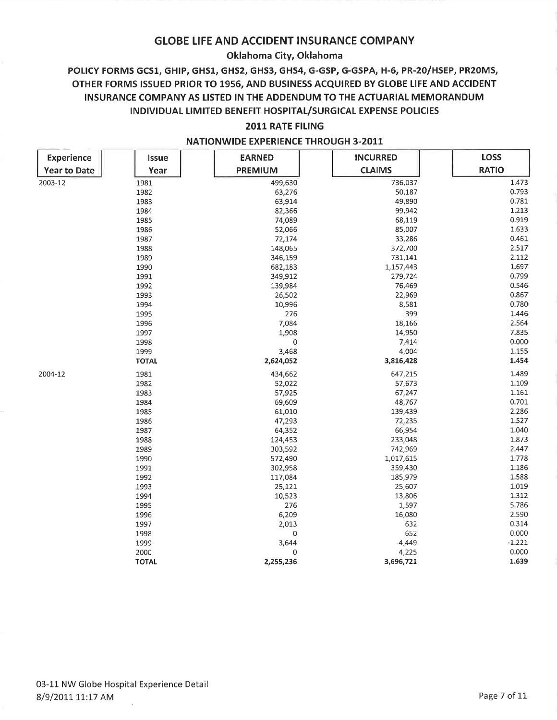## Oklahoma City, Oklahoma

# POLICY FORMS GCS1, GHIP, GHS1, GHS2, GHS3, GHS4, G-GSP, G-GSPA, H-6, PR-20/HSEP, PR20MS, OTHER FORMS ISSUED PRIOR TO 1956, AND BUSINESS ACQUIRED BY GLOBE LIFE AND ACCIDENT INSURANCE COMPANY AS LISTED IN THE ADDENDUM TO THE ACTUARIAL MEMORANDUM INDIVIDUAL LIMITED BENEFIT HOSPITAL/SURGICAL EXPENSE POLICIES

#### 2011 RATE FILING

| <b>Experience</b>   | Issue        | <b>EARNED</b>  | <b>INCURRED</b> | <b>LOSS</b>  |
|---------------------|--------------|----------------|-----------------|--------------|
| <b>Year to Date</b> | Year         | <b>PREMIUM</b> | <b>CLAIMS</b>   | <b>RATIO</b> |
| 2003-12             | 1981         | 499,630        | 736,037         | 1.473        |
|                     | 1982         | 63,276         | 50,187          | 0.793        |
|                     | 1983         | 63,914         | 49,890          | 0.781        |
|                     | 1984         | 82,366         | 99,942          | 1.213        |
|                     | 1985         | 74,089         | 68,119          | 0.919        |
|                     | 1986         | 52,066         | 85,007          | 1.633        |
|                     | 1987         | 72,174         | 33,286          | 0.461        |
|                     | 1988         | 148,065        | 372,700         | 2.517        |
|                     | 1989         | 346,159        | 731,141         | 2.112        |
|                     | 1990         | 682,183        | 1,157,443       | 1.697        |
|                     | 1991         | 349,912        | 279,724         | 0.799        |
|                     | 1992         | 139,984        | 76,469          | 0.546        |
|                     | 1993         | 26,502         | 22,969          | 0.867        |
|                     | 1994         | 10,996         | 8,581           | 0.780        |
|                     | 1995         | 276            | 399             | 1.446        |
|                     | 1996         | 7,084          | 18,166          | 2.564        |
|                     | 1997         | 1,908          | 14,950          | 7.835        |
|                     | 1998         | 0              | 7,414           | 0.000        |
|                     | 1999         | 3,468          | 4,004           | 1.155        |
|                     | <b>TOTAL</b> | 2,624,052      | 3,816,428       | 1.454        |
| 2004-12             | 1981         | 434,662        | 647,215         | 1.489        |
|                     | 1982         | 52,022         | 57,673          | 1.109        |
|                     | 1983         | 57,925         | 67,247          | 1.161        |
|                     | 1984         | 69,609         | 48,767          | 0.701        |
|                     | 1985         | 61,010         | 139,439         | 2.286        |
|                     | 1986         | 47,293         | 72,235          | 1.527        |
|                     | 1987         | 64,352         | 66,954          | 1.040        |
|                     | 1988         | 124,453        | 233,048         | 1.873        |
|                     | 1989         | 303,592        | 742,969         | 2.447        |
|                     | 1990         | 572,490        | 1,017,615       | 1.778        |
|                     | 1991         | 302,958        | 359,430         | 1.186        |
|                     | 1992         | 117,084        | 185,979         | 1.588        |
|                     | 1993         | 25,121         | 25,607          | 1.019        |
|                     | 1994         | 10,523         | 13,806          | 1.312        |
|                     | 1995         | 276            | 1,597           | 5.786        |
|                     | 1996         | 6,209          | 16,080          | 2.590        |
|                     | 1997         | 2,013          | 632             | 0.314        |
|                     | 1998         | 0              | 652             | 0.000        |
|                     | 1999         | 3,644          | $-4,449$        | $-1.221$     |
|                     | 2000         | $\mathbf 0$    | 4,225           | 0.000        |
|                     | <b>TOTAL</b> | 2,255,236      | 3,696,721       | 1.639        |

#### **NATIONWIDE EXPERIENCE THROUGH 3-2011**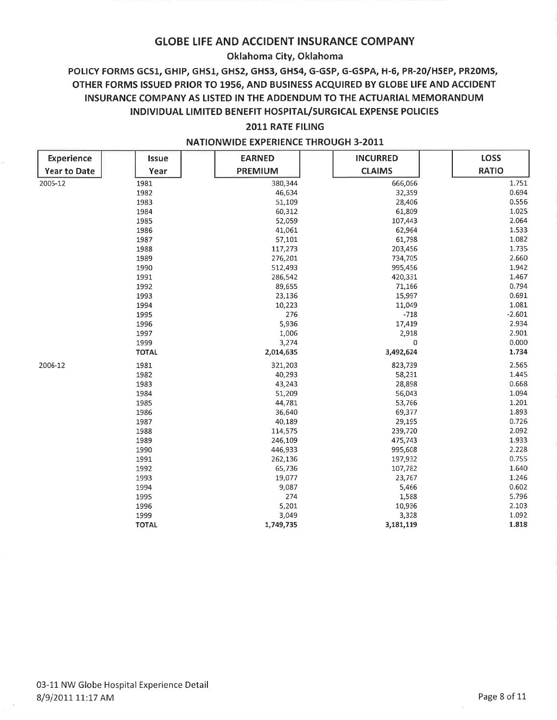## Oklahoma City, Oklahoma

# POLICY FORMS GCS1, GHIP, GHS1, GHS2, GHS3, GHS4, G-GSP, G-GSPA, H-6, PR-20/HSEP, PR20MS, OTHER FORMS ISSUED PRIOR TO 1956, AND BUSINESS ACQUIRED BY GLOBE LIFE AND ACCIDENT INSURANCE COMPANY AS LISTED IN THE ADDENDUM TO THE ACTUARIAL MEMORANDUM INDIVIDUAL LIMITED BENEFIT HOSPITAL/SURGICAL EXPENSE POLICIES

### 2011 RATE FILING

| <b>Experience</b>   | <b>Issue</b> | <b>EARNED</b>  | <b>INCURRED</b> | LOSS         |
|---------------------|--------------|----------------|-----------------|--------------|
| <b>Year to Date</b> | Year         | <b>PREMIUM</b> | <b>CLAIMS</b>   | <b>RATIO</b> |
| 2005-12             | 1981         | 380,344        | 666,066         | 1.751        |
|                     | 1982         | 46,634         | 32,359          | 0.694        |
|                     | 1983         | 51,109         | 28,406          | 0.556        |
|                     | 1984         | 60,312         | 61,809          | 1.025        |
|                     | 1985         | 52,059         | 107,443         | 2.064        |
|                     | 1986         | 41,061         | 62,964          | 1.533        |
|                     | 1987         | 57,101         | 61,798          | 1.082        |
|                     | 1988         | 117,273        | 203,456         | 1.735        |
|                     | 1989         | 276,201        | 734,705         | 2.660        |
|                     | 1990         | 512,493        | 995,456         | 1.942        |
|                     | 1991         | 286,542        | 420,331         | 1.467        |
|                     | 1992         | 89,655         | 71,166          | 0.794        |
|                     | 1993         | 23,136         | 15,997          | 0.691        |
|                     | 1994         | 10,223         | 11,049          | 1.081        |
|                     | 1995         | 276            | $-718$          | $-2.601$     |
|                     | 1996         | 5,936          | 17,419          | 2.934        |
|                     | 1997         | 1,006          | 2,918           | 2.901        |
|                     | 1999         | 3,274          | 0               | 0.000        |
|                     | <b>TOTAL</b> | 2,014,635      | 3,492,624       | 1.734        |
| 2006-12             | 1981         | 321,203        | 823,739         | 2.565        |
|                     | 1982         | 40,293         | 58,231          | 1.445        |
|                     | 1983         | 43,243         | 28,898          | 0.668        |
|                     | 1984         | 51,209         | 56,043          | 1.094        |
|                     | 1985         | 44,781         | 53,766          | 1.201        |
|                     | 1986         | 36,640         | 69,377          | 1.893        |
|                     | 1987         | 40,189         | 29,195          | 0.726        |
|                     | 1988         | 114,575        | 239,720         | 2.092        |
|                     | 1989         | 246,109        | 475,743         | 1.933        |
|                     | 1990         | 446,933        | 995,608         | 2.228        |
|                     | 1991         | 262,136        | 197,932         | 0.755        |
|                     | 1992         | 65,736         | 107,782         | 1.640        |
|                     | 1993         | 19,077         | 23,767          | 1.246        |
|                     | 1994         | 9,087          | 5,466           | 0.602        |
|                     | 1995         | 274            | 1,588           | 5.796        |
|                     | 1996         | 5,201          | 10,936          | 2.103        |
|                     | 1999         | 3,049          | 3,328           | 1.092        |
|                     | <b>TOTAL</b> | 1,749,735      | 3,181,119       | 1.818        |

#### **NATIONWIDE EXPERIENCE THROUGH 3-2011**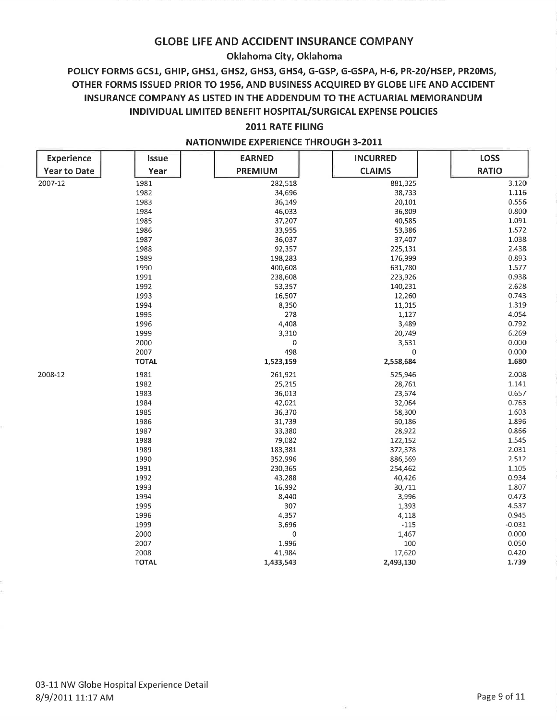### Oklahoma City, Oklahoma

# POLICY FORMS GCS1, GHIP, GHS1, GHS2, GHS3, GHS4, G-GSP, G-GSPA, H-6, PR-20/HSEP, PR20MS, OTHER FORMS ISSUED PRIOR TO 1956, AND BUSINESS ACQUIRED BY GLOBE LIFE AND ACCIDENT INSURANCE COMPANY AS LISTED IN THE ADDENDUM TO THE ACTUARIAL MEMORANDUM INDIVIDUAL LIMITED BENEFIT HOSPITAL/SURGICAL EXPENSE POLICIES

### **2011 RATE FILING**

| <b>Experience</b>   | Issue        | <b>EARNED</b>  | <b>INCURRED</b> | <b>LOSS</b>  |
|---------------------|--------------|----------------|-----------------|--------------|
| <b>Year to Date</b> | Year         | <b>PREMIUM</b> | <b>CLAIMS</b>   | <b>RATIO</b> |
| 2007-12             | 1981         | 282,518        | 881,325         | 3.120        |
|                     | 1982         | 34,696         | 38,733          | 1.116        |
|                     | 1983         | 36,149         | 20,101          | 0.556        |
|                     | 1984         | 46,033         | 36,809          | 0.800        |
|                     | 1985         | 37,207         | 40,585          | 1.091        |
|                     | 1986         | 33,955         | 53,386          | 1.572        |
|                     | 1987         | 36,037         | 37,407          | 1.038        |
|                     | 1988         | 92,357         | 225,131         | 2.438        |
|                     | 1989         | 198,283        | 176,999         | 0.893        |
|                     | 1990         | 400,608        | 631,780         | 1.577        |
|                     | 1991         | 238,608        | 223,926         | 0.938        |
|                     | 1992         | 53,357         | 140,231         | 2.628        |
|                     | 1993         | 16,507         | 12,260          | 0.743        |
|                     | 1994         | 8,350          | 11,015          | 1.319        |
|                     | 1995         | 278            | 1,127           | 4.054        |
|                     | 1996         | 4,408          | 3,489           | 0.792        |
|                     | 1999         | 3,310          | 20,749          | 6.269        |
|                     | 2000         | 0              | 3,631           | 0.000        |
|                     | 2007         | 498            | 0               | 0.000        |
|                     | <b>TOTAL</b> | 1,523,159      | 2,558,684       | 1.680        |
| 2008-12             | 1981         | 261,921        | 525,946         | 2.008        |
|                     | 1982         | 25,215         | 28,761          | 1.141        |
|                     | 1983         | 36,013         | 23,674          | 0.657        |
|                     | 1984         | 42,021         | 32,064          | 0.763        |
|                     | 1985         | 36,370         | 58,300          | 1.603        |
|                     | 1986         | 31,739         | 60,186          | 1.896        |
|                     | 1987         | 33,380         | 28,922          | 0.866        |
|                     | 1988         | 79,082         | 122,152         | 1.545        |
|                     | 1989         | 183,381        | 372,378         | 2.031        |
|                     | 1990         | 352,996        | 886,569         | 2.512        |
|                     | 1991         | 230,365        | 254,462         | 1.105        |
|                     | 1992         | 43,288         | 40,426          | 0.934        |
|                     | 1993         | 16,992         | 30,711          | 1.807        |
|                     | 1994         | 8,440          | 3,996           | 0.473        |
|                     | 1995         | 307            | 1,393           | 4.537        |
|                     | 1996         | 4,357          | 4,118           | 0.945        |
|                     | 1999         | 3,696          | $-115$          | $-0.031$     |
|                     | 2000         | 0              | 1,467           | 0.000        |
|                     | 2007         | 1,996          | 100             | 0.050        |
|                     | 2008         | 41,984         | 17,620          | 0.420        |
|                     | <b>TOTAL</b> | 1,433,543      | 2,493,130       | 1.739        |

#### **NATIONWIDE EXPERIENCE THROUGH 3-2011**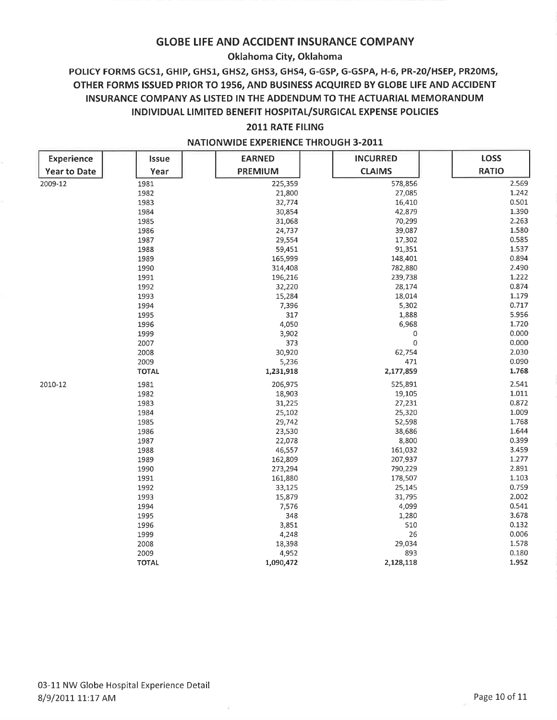### Oklahoma City, Oklahoma

# POLICY FORMS GCS1, GHIP, GHS1, GHS2, GHS3, GHS4, G-GSP, G-GSPA, H-6, PR-20/HSEP, PR20MS, OTHER FORMS ISSUED PRIOR TO 1956, AND BUSINESS ACQUIRED BY GLOBE LIFE AND ACCIDENT INSURANCE COMPANY AS LISTED IN THE ADDENDUM TO THE ACTUARIAL MEMORANDUM INDIVIDUAL LIMITED BENEFIT HOSPITAL/SURGICAL EXPENSE POLICIES

### 2011 RATE FILING

| <b>Experience</b>   | Issue        | <b>EARNED</b>  | <b>INCURRED</b> | <b>LOSS</b>  |
|---------------------|--------------|----------------|-----------------|--------------|
| <b>Year to Date</b> | Year         | <b>PREMIUM</b> | <b>CLAIMS</b>   | <b>RATIO</b> |
| 2009-12             | 1981         | 225,359        | 578,856         | 2.569        |
|                     | 1982         | 21,800         | 27,085          | 1.242        |
|                     | 1983         | 32,774         | 16,410          | 0.501        |
|                     | 1984         | 30,854         | 42,879          | 1.390        |
|                     | 1985         | 31,068         | 70,299          | 2.263        |
|                     | 1986         | 24,737         | 39,087          | 1.580        |
|                     | 1987         | 29,554         | 17,302          | 0.585        |
|                     | 1988         | 59,451         | 91,351          | 1.537        |
|                     | 1989         | 165,999        | 148,401         | 0.894        |
|                     | 1990         | 314,408        | 782,880         | 2.490        |
|                     | 1991         | 196,216        | 239,738         | 1.222        |
|                     | 1992         | 32,220         | 28,174          | 0.874        |
|                     | 1993         | 15,284         | 18,014          | 1.179        |
|                     | 1994         | 7,396          | 5,302           | 0.717        |
|                     | 1995         | 317            | 1,888           | 5.956        |
|                     | 1996         | 4,050          | 6,968           | 1.720        |
|                     | 1999         | 3,902          | 0               | 0.000        |
|                     | 2007         | 373            | $\mathbf 0$     | 0.000        |
|                     | 2008         | 30,920         | 62,754          | 2.030        |
|                     | 2009         | 5,236          | 471             | 0.090        |
|                     | <b>TOTAL</b> | 1,231,918      | 2,177,859       | 1.768        |
| 2010-12             | 1981         | 206,975        | 525,891         | 2.541        |
|                     | 1982         | 18,903         | 19,105          | 1.011        |
|                     | 1983         | 31,225         | 27,231          | 0.872        |
|                     | 1984         | 25,102         | 25,320          | 1.009        |
|                     | 1985         | 29,742         | 52,598          | 1.768        |
|                     | 1986         | 23,530         | 38,686          | 1.644        |
|                     | 1987         | 22,078         | 8,800           | 0.399        |
|                     | 1988         | 46,557         | 161,032         | 3.459        |
|                     | 1989         | 162,809        | 207,937         | 1.277        |
|                     | 1990         | 273,294        | 790,229         | 2.891        |
|                     | 1991         | 161,880        | 178,507         | 1.103        |
|                     | 1992         | 33,125         | 25,145          | 0.759        |
|                     | 1993         | 15,879         | 31,795          | 2.002        |
|                     | 1994         | 7,576          | 4,099           | 0.541        |
|                     | 1995         | 348            | 1,280           | 3.678        |
|                     | 1996         | 3,851          | 510             | 0.132        |
|                     | 1999         | 4,248          | 26              | 0.006        |
|                     | 2008         | 18,398         | 29,034          | 1.578        |
|                     | 2009         | 4,952          | 893             | 0.180        |
|                     | <b>TOTAL</b> | 1,090,472      | 2,128,118       | 1.952        |

#### **NATIONWIDE EXPERIENCE THROUGH 3-2011**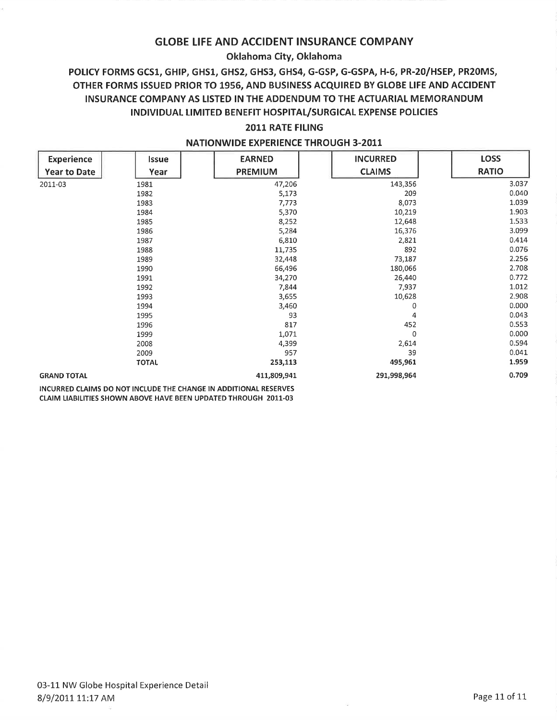## Oklahoma City, Oklahoma

# POLICY FORMS GCS1, GHIP, GHS1, GHS2, GHS3, GHS4, G-GSP, G-GSPA, H-6, PR-20/HSEP, PR20MS, OTHER FORMS ISSUED PRIOR TO 1956, AND BUSINESS ACQUIRED BY GLOBE LIFE AND ACCIDENT INSURANCE COMPANY AS LISTED IN THE ADDENDUM TO THE ACTUARIAL MEMORANDUM INDIVIDUAL LIMITED BENEFIT HOSPITAL/SURGICAL EXPENSE POLICIES

# 2011 RATE FILING

| <b>Experience</b>   | <b>Issue</b> | <b>EARNED</b>  | <b>INCURRED</b> | <b>LOSS</b>  |
|---------------------|--------------|----------------|-----------------|--------------|
| <b>Year to Date</b> | Year         | <b>PREMIUM</b> | <b>CLAIMS</b>   | <b>RATIO</b> |
| 2011-03             | 1981         | 47,206         | 143,356         | 3.037        |
|                     | 1982         | 5,173          | 209             | 0.040        |
|                     | 1983         | 7,773          | 8,073           | 1.039        |
|                     | 1984         | 5,370          | 10,219          | 1.903        |
|                     | 1985         | 8,252          | 12,648          | 1.533        |
|                     | 1986         | 5,284          | 16,376          | 3.099        |
|                     | 1987         | 6,810          | 2,821           | 0.414        |
|                     | 1988         | 11,735         | 892             | 0.076        |
|                     | 1989         | 32,448         | 73,187          | 2.256        |
|                     | 1990         | 66,496         | 180,066         | 2.708        |
|                     | 1991         | 34,270         | 26,440          | 0.772        |
|                     | 1992         | 7,844          | 7,937           | 1.012        |
|                     | 1993         | 3,655          | 10,628          | 2.908        |
|                     | 1994         | 3,460          |                 | 0.000<br>0   |
|                     | 1995         | 93             |                 | 0.043<br>4   |
|                     | 1996         | 817            | 452             | 0.553        |
|                     | 1999         | 1,071          | 0               | 0.000        |
|                     | 2008         | 4,399          | 2,614           | 0.594        |
|                     | 2009         | 957            | 39              | 0.041        |
|                     | <b>TOTAL</b> | 253,113        | 495,961         | 1.959        |
| <b>GRAND TOTAL</b>  |              | 411,809,941    | 291,998,964     | 0.709        |

#### **NATIONWIDE EXPERIENCE THROUGH 3-2011**

INCURRED CLAIMS DO NOT INCLUDE THE CHANGE IN ADDITIONAL RESERVES CLAIM LIABILITIES SHOWN ABOVE HAVE BEEN UPDATED THROUGH 2011-03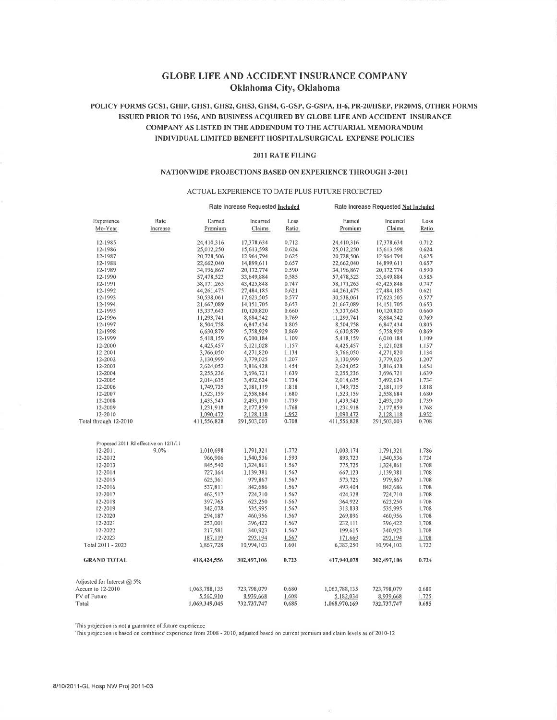### **GLOBE LIFE AND ACCIDENT INSURANCE COMPANY** Oklahoma City, Oklahoma

#### POLICY FORMS GCS1, GHIP, GHS1, GHS2, GHS3, GHS4, G-GSP, G-GSPA, H-6, PR-20/HSEP, PR20MS, OTHER FORMS ISSUED PRIOR TO 1956, AND BUSINESS ACQUIRED BY GLOBE LIFE AND ACCIDENT INSURANCE COMPANY AS LISTED IN THE ADDENDUM TO THE ACTUARIAL MEMORANDUM INDIVIDUAL LIMITED BENEFIT HOSPITAL/SURGICAL EXPENSE POLICIES

#### 2011 RATE FILING

#### NATIONWIDE PROJECTIONS BASED ON EXPERIENCE THROUGH 3-2011

#### ACTUAL EXPERIENCE TO DATE PLUS FUTURE PROJECTED

|                                       |          |               | Rate Increase Requested Included |           |               | Rate Increase Requested Not Included |       |
|---------------------------------------|----------|---------------|----------------------------------|-----------|---------------|--------------------------------------|-------|
| Experience                            | Rate     | Earned        | Incurred                         | Loss      | Earned        | Incurred                             | Loss  |
| Mo-Year                               | Increase | Premium       | Claims                           | Ratio     | Premium       | Claims                               | Ratio |
| 12-1985                               |          | 24,410,316    | 17,378,634                       | 0.712     | 24,410,316    | 17,378,634                           | 0.712 |
| 12-1986                               |          | 25,012,250    | 15,613,598                       | 0.624     | 25,012,250    | 15,613,598                           | 0.624 |
| 12-1987                               |          | 20,728,506    | 12,964,794                       | 0.625     | 20,728,506    | 12,964,794                           | 0.625 |
| 12-1988                               |          | 22,662,040    | 14,899,611                       | 0.657     | 22,662,040    | 14,899,611                           | 0.657 |
| 12-1989                               |          | 34, 196, 867  | 20, 172, 774                     | 0.590     | 34, 196, 867  | 20,172,774                           | 0.590 |
| 12-1990                               |          | 57,478,523    | 33,649,884                       | 0,585     | 57,478,523    | 33,649,884                           | 0.585 |
| 12-1991                               |          | 58, 171, 265  | 43,425,848                       | 0.747     | 58, 171, 265  | 43,425,848                           | 0.747 |
| 12-1992                               |          | 44,261,475    | 27,484,185                       | 0.621     | 44,261,475    | 27,484,185                           | 0.621 |
| 12-1993                               |          | 30,538,061    | 17,623,505                       | 0.577     | 30,538,061    | 17,623,505                           | 0.577 |
| 12-1994                               |          | 21,667,089    | 14, 151, 705                     | 0.653     | 21,667,089    | 14, 151, 705                         | 0.653 |
| 12-1995                               |          | 15,337,643    | 10,120,820                       | 0.660     | 15,337,643    | 10,120,820                           | 0.660 |
| 12-1996                               |          | 11,293,741    | 8,684,542                        | 0.769     | 11,293,741    | 8,684,542                            | 0.769 |
| 12-1997                               |          | 8,504,758     | 6,847,434                        | 0.805     | 8,504,758     | 6,847,434                            | 0.805 |
| 12-1998                               |          | 6,630,879     | 5,758,929                        | 0.869     | 6,630,879     | 5,758,929                            | 0.869 |
| 12-1999                               |          | 5,418,159     | 6,010,184                        | 1,109     | 5,418,159     | 6,010,184                            | 1.109 |
| 12-2000                               |          | 4,425,457     | 5,121,028                        | $1 - 157$ | 4,425,457     | 5,121,028                            | 1.157 |
| 12-2001                               |          | 3,766,050     | 4,271,820                        | 1.134     | 3,766,050     | 4,271,820                            | 1.134 |
| 12-2002                               |          | 3,130,999     | 3,779,025                        | 1.207     | 3,130,999     | 3,779,025                            | 1,207 |
| 12-2003                               |          | 2,624,052     | 3,816,428                        | 1.454     | 2,624,052     | 3,816,428                            | 1,454 |
| 12-2004                               |          | 2,255,236     | 3,696,721                        | 1.639     | 2,255,236     | 3,696,721                            | 1.639 |
| 12-2005                               |          | 2,014,635     | 3,492,624                        | 1.734     | 2,014,635     | 3,492,624                            | 1,734 |
| 12-2006                               |          | 1,749,735     | 3,181,119                        | 1.818     | 1,749,735     | 3,181,119                            | 1.818 |
| 12-2007                               |          | 1,523,159     | 2,558,684                        | 1.680     | 1,523,159     | 2,558,684                            | 1.680 |
| 12-2008                               |          | 1,433,543     | 2,493,130                        | 1.739     | 1,433,543     | 2,493,130                            | 1.739 |
| 12-2009                               |          | 1,231,918     | 2,177,859                        | 1.768     | 1,231,918     | 2,177,859                            | 1,768 |
| 12-2010                               |          | 1,090,472     | 2,128,118                        | 1.952     | 1,090,472     | 2,128,118                            | 1.952 |
| Total through 12-2010                 |          | 411,556,828   | 291,503,003                      | 0.708     | 411,556,828   | 291,503,003                          | 0.708 |
|                                       |          |               |                                  |           |               |                                      |       |
| Proposed 2011 RI effective on 12/1/11 |          |               |                                  |           |               |                                      |       |
| 12-2011                               | 9.0%     | 1,010,698     | 1,791,321                        | 1.772     | 1,003,174     | 1,791,321                            | 1.786 |
| 12-2012                               |          | 966,906       | 1,540,536                        | 1.593     | 893,723       | 1,540,536                            | 1,724 |
| 12-2013                               |          | 845,540       | 1,324,861                        | 1.567     | 775,725       | 1,324,861                            | 1.708 |
| 12-2014                               |          | 727,164       | 1,139,381                        | 1.567     | 667,123       | 1,139,381                            | 1.708 |
| 12-2015                               |          | 625,361       | 979,867                          | 1.567     | 573,726       | 979,867                              | 1.708 |
| 12-2016                               |          | 537,811       | 842,686                          | 1.567     | 493,404       | 842,686                              | 1.708 |
| 12-2017                               |          | 462,517       | 724,710                          | 1.567     | 424,328       | 724,710                              | 1,708 |
| 12-2018                               |          | 397,765       | 623,250                          | 1.567     | 364,922       | 623,250                              | 1.708 |
| 12-2019                               |          | 342,078       | 535,995                          | 1.567     | 313,833       | 535,995                              | 1.708 |
| 12-2020                               |          | 294,187       | 460,956                          | 1.567     | 269,896       | 460,956                              | 1.708 |
| 12-2021                               |          | 253,001       | 396,422                          | 1.567     | 232,111       | 396,422                              | 1.708 |
| 12-2022                               |          | 217,581       | 340,923                          | 1.567     | 199,615       | 340,923                              | 1.708 |
| 12-2023                               |          | 187,119       | 293,194                          | 1 5 6 7   | 171,669       | 293,194                              | 1.708 |
| Total 2011 - 2023                     |          | 6,867,728     | 10,994,103                       | 1,601     | 6,383,250     | 10,994,103                           | 1.722 |
| <b>GRAND TOTAL</b>                    |          | 418,424,556   | 302,497,106                      | 0.723     | 417,940,078   | 302,497,106                          | 0,724 |
|                                       |          |               |                                  |           |               |                                      |       |
| Adjusted for Interest @ 5%            |          |               |                                  |           |               |                                      |       |
| Accum to 12-2010                      |          | 1,063,788,135 | 723,798,079                      | 0.680     | 1,063,788,135 | 723,798,079                          | 0.680 |
| PV of Future                          |          | 5,560,910     | 8,939,668                        | 1.608     | 5,182,034     | 8,939,668                            | 1,725 |
| Total                                 |          | 1,069,349,045 | 732,737,747                      | 0.685     | 1,068,970,169 | 732,737,747                          | 0.685 |

This projection is not a guarantee of future experience

This projection is based on combined experience from 2008 - 2010, adjusted based on current premium and claim levels as of 2010-12